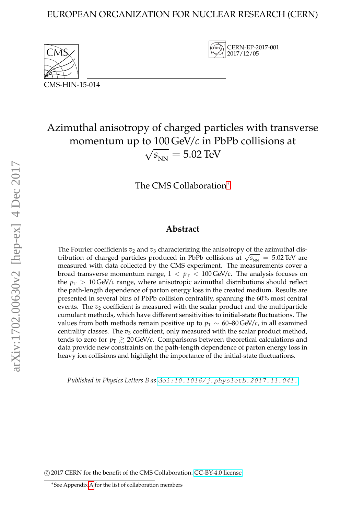## EUROPEAN ORGANIZATION FOR NUCLEAR RESEARCH (CERN)





# Azimuthal anisotropy of charged particles with transverse momentum up to 100 GeV/*c* in PbPb collisions at  $\sqrt{s_{_{NN}}}$  = 5.02 TeV

The CMS Collaboration[∗](#page-0-0)

## **Abstract**

The Fourier coefficients  $v_2$  and  $v_3$  characterizing the anisotropy of the azimuthal dis-The rourier coefficients  $v_2$  and  $v_3$  characterizing the anisotropy of the azimuthal distribution of charged particles produced in PbPb collisions at  $\sqrt{s_{_{NN}}}$  = 5.02 TeV are measured with data collected by the CMS experiment. The measurements cover a broad transverse momentum range,  $1 < p<sub>T</sub> < 100 \text{ GeV}/c$ . The analysis focuses on the  $p_T > 10$  GeV/*c* range, where anisotropic azimuthal distributions should reflect the path-length dependence of parton energy loss in the created medium. Results are presented in several bins of PbPb collision centrality, spanning the 60% most central events. The  $v_2$  coefficient is measured with the scalar product and the multiparticle cumulant methods, which have different sensitivities to initial-state fluctuations. The values from both methods remain positive up to  $p_T ∼ 60–80$  GeV/*c*, in all examined centrality classes. The  $v_3$  coefficient, only measured with the scalar product method, tends to zero for  $p_T \geq 20 \text{GeV/c}$ . Comparisons between theoretical calculations and data provide new constraints on the path-length dependence of parton energy loss in heavy ion collisions and highlight the importance of the initial-state fluctuations.

*Published in Physics Letters B as* [doi:10.1016/j.physletb.2017.11.041.](http://dx.doi.org/10.1016/j.physletb.2017.11.041)

c 2017 CERN for the benefit of the CMS Collaboration. [CC-BY-4.0 license](http://creativecommons.org/licenses/by/4.0)

<span id="page-0-0"></span><sup>∗</sup>See Appendix [A](#page-14-0) for the list of collaboration members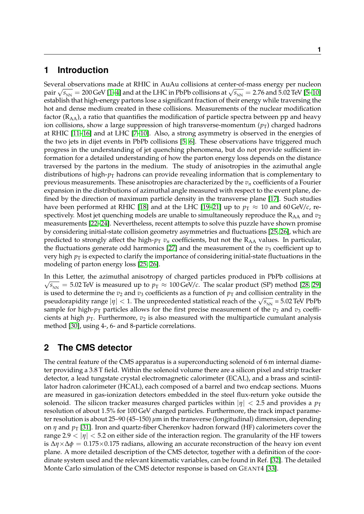## **1 Introduction**

Several observations made at RHIC in AuAu collisions at center-of-mass energy per nucleon  $\beta$  pair  $\sqrt{s_{_{\rm NN}}}$  = 200 GeV [\[1–](#page-9-0)[4\]](#page-10-0) and at the LHC in PbPb collisions at  $\sqrt{s_{_{\rm NN}}}$  = 2.76 and 5.02 TeV [\[5–](#page-10-1)[10\]](#page-10-2) establish that high-energy partons lose a significant fraction of their energy while traversing the hot and dense medium created in these collisions. Measurements of the nuclear modification factor  $(R_{AA})$ , a ratio that quantifies the modification of particle spectra between pp and heavy ion collisions, show a large suppression of high transverse-momentum  $(p_T)$  charged hadrons at RHIC [\[11–](#page-10-3)[16\]](#page-10-4) and at LHC [\[7–](#page-10-5)[10\]](#page-10-2). Also, a strong asymmetry is observed in the energies of the two jets in dijet events in PbPb collisions [\[5,](#page-10-1) [6\]](#page-10-6). These observations have triggered much progress in the understanding of jet quenching phenomena, but do not provide sufficient information for a detailed understanding of how the parton energy loss depends on the distance traversed by the partons in the medium. The study of anisotropies in the azimuthal angle distributions of high- $p<sub>T</sub>$  hadrons can provide revealing information that is complementary to previous measurements. These anisotropies are characterized by the *v<sup>n</sup>* coefficients of a Fourier expansion in the distributions of azimuthal angle measured with respect to the event plane, defined by the direction of maximum particle density in the transverse plane [\[17\]](#page-11-0). Such studies have been performed at RHIC [\[18\]](#page-11-1) and at the LHC [\[19–](#page-11-2)[21\]](#page-11-3) up to  $p_T \approx 10$  and 60 GeV/*c*, respectively. Most jet quenching models are unable to simultaneously reproduce the  $R_{AA}$  and  $v_2$ measurements [\[22](#page-11-4)[–24\]](#page-11-5). Nevertheless, recent attempts to solve this puzzle have shown promise by considering initial-state collision geometry asymmetries and fluctuations [\[25,](#page-11-6) [26\]](#page-11-7), which are predicted to strongly affect the high- $p_T$   $v_n$  coefficients, but not the  $R_{AA}$  values. In particular, the fluctuations generate odd harmonics [\[27\]](#page-11-8) and the measurement of the  $v_3$  coefficient up to very high  $p<sub>T</sub>$  is expected to clarify the importance of considering initial-state fluctuations in the modeling of parton energy loss [\[25,](#page-11-6) [26\]](#page-11-7).

In this Letter, the azimuthal anisotropy of charged particles produced in PbPb collisions at √  $\sqrt{s_{_{NN}}}$  = 5.02 TeV is measured up to  $p_T \approx 100$  GeV/*c*. The scalar product (SP) method [\[28,](#page-11-9) [29\]](#page-11-10) is used to determine the  $v_2$  and  $v_3$  coefficients as a function of  $p_T$  and collision centrality in the is used to determine the  $v_2$  and  $v_3$  coenicients as a function of  $p_T$  and comsion centrality in the pseudorapidity range  $|\eta| < 1$ . The unprecedented statistical reach of the  $\sqrt{s_{_{\rm NN}}}$  = 5.02 TeV PbPb sample for high- $p_T$  particles allows for the first precise measurement of the  $v_2$  and  $v_3$  coefficients at high  $p_T$ . Furthermore,  $v_2$  is also measured with the multiparticle cumulant analysis method [\[30\]](#page-12-0), using 4-, 6- and 8-particle correlations.

## **2 The CMS detector**

The central feature of the CMS apparatus is a superconducting solenoid of 6 m internal diameter providing a 3.8 T field. Within the solenoid volume there are a silicon pixel and strip tracker detector, a lead tungstate crystal electromagnetic calorimeter (ECAL), and a brass and scintillator hadron calorimeter (HCAL), each composed of a barrel and two endcap sections. Muons are measured in gas-ionization detectors embedded in the steel flux-return yoke outside the solenoid. The silicon tracker measures charged particles within  $|\eta| < 2.5$  and provides a  $p_T$ resolution of about 1.5% for 100 GeV charged particles. Furthermore, the track impact parameter resolution is about 25–90 (45–150) *µ*m in the transverse (longitudinal) dimension, depending on *η* and *p*<sup>T</sup> [\[31\]](#page-12-1). Iron and quartz-fiber Cherenkov hadron forward (HF) calorimeters cover the range 2.9  $<$   $|\eta|$   $<$  5.2 on either side of the interaction region. The granularity of the HF towers is  $\Delta \eta \times \Delta \phi = 0.175 \times 0.175$  radians, allowing an accurate reconstruction of the heavy ion event plane. A more detailed description of the CMS detector, together with a definition of the coordinate system used and the relevant kinematic variables, can be found in Ref. [\[32\]](#page-12-2). The detailed Monte Carlo simulation of the CMS detector response is based on GEANT4 [\[33\]](#page-12-3).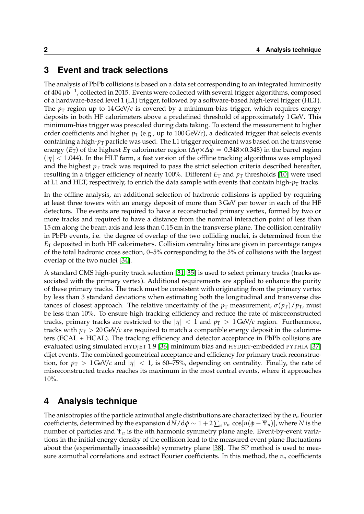## **3 Event and track selections**

The analysis of PbPb collisions is based on a data set corresponding to an integrated luminosity of 404  $\mu$ b<sup>-1</sup>, collected in 2015. Events were collected with several trigger algorithms, composed of a hardware-based level 1 (L1) trigger, followed by a software-based high-level trigger (HLT). The  $p<sub>T</sub>$  region up to 14 GeV/*c* is covered by a minimum-bias trigger, which requires energy deposits in both HF calorimeters above a predefined threshold of approximately 1 GeV. This minimum-bias trigger was prescaled during data taking. To extend the measurement to higher order coefficients and higher  $p_T$  (e.g., up to 100 GeV/*c*), a dedicated trigger that selects events containing a high- $p_T$  particle was used. The L1 trigger requirement was based on the transverse energy ( $E_T$ ) of the highest  $E_T$  calorimeter region ( $\Delta \eta \times \Delta \phi = 0.348 \times 0.348$ ) in the barrel region  $(|\eta| < 1.044)$ . In the HLT farm, a fast version of the offline tracking algorithms was employed and the highest  $p<sub>T</sub>$  track was required to pass the strict selection criteria described hereafter, resulting in a trigger efficiency of nearly 100%. Different  $E_T$  and  $p_T$  thresholds [\[10\]](#page-10-2) were used at L1 and HLT, respectively, to enrich the data sample with events that contain high- $p_T$  tracks.

In the offline analysis, an additional selection of hadronic collisions is applied by requiring at least three towers with an energy deposit of more than 3 GeV per tower in each of the HF detectors. The events are required to have a reconstructed primary vertex, formed by two or more tracks and required to have a distance from the nominal interaction point of less than 15 cm along the beam axis and less than 0.15 cm in the transverse plane. The collision centrality in PbPb events, i.e. the degree of overlap of the two colliding nuclei, is determined from the *E*<sup>T</sup> deposited in both HF calorimeters. Collision centrality bins are given in percentage ranges of the total hadronic cross section, 0–5% corresponding to the 5% of collisions with the largest overlap of the two nuclei [\[34\]](#page-12-4).

A standard CMS high-purity track selection [\[31,](#page-12-1) [35\]](#page-12-5) is used to select primary tracks (tracks associated with the primary vertex). Additional requirements are applied to enhance the purity of these primary tracks. The track must be consistent with originating from the primary vertex by less than 3 standard deviations when estimating both the longitudinal and transverse distances of closest approach. The relative uncertainty of the  $p_T$  measurement,  $\sigma(p_T)/p_T$ , must be less than 10%. To ensure high tracking efficiency and reduce the rate of misreconstructed tracks, primary tracks are restricted to the  $|\eta| < 1$  and  $p<sub>T</sub> > 1$  GeV/*c* region. Furthermore, tracks with  $p_T > 20$  GeV/*c* are required to match a compatible energy deposit in the calorimeters (ECAL + HCAL). The tracking efficiency and detector acceptance in PbPb collisions are evaluated using simulated HYDJET 1.9 [\[36\]](#page-12-6) minimum bias and HYDJET-embedded PYTHIA [\[37\]](#page-12-7) dijet events. The combined geometrical acceptance and efficiency for primary track reconstruction, for  $p_T > 1$  GeV/*c* and  $|\eta| < 1$ , is 60–75%, depending on centrality. Finally, the rate of misreconstructed tracks reaches its maximum in the most central events, where it approaches 10%.

## **4 Analysis technique**

The anisotropies of the particle azimuthal angle distributions are characterized by the  $v_n$  Fourier coefficients, determined by the expansion  $dN/d\phi \sim 1 + 2\sum_{n} v_n \cos[n(\phi - \Psi_n)]$ , where *N* is the number of particles and Ψ*<sup>n</sup>* is the *n*th harmonic symmetry plane angle. Event-by-event variations in the initial energy density of the collision lead to the measured event plane fluctuations about the (experimentally inaccessible) symmetry plane [\[38\]](#page-12-8). The SP method is used to measure azimuthal correlations and extract Fourier coefficients. In this method, the *v<sup>n</sup>* coefficients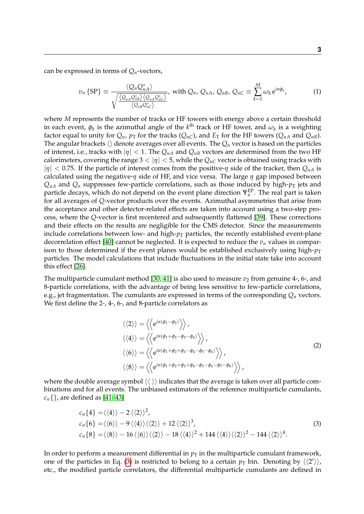can be expressed in terms of  $Q_n$ -vectors,

$$
v_n \{SP\} \equiv \frac{\langle Q_n Q_{nA}^* \rangle}{\sqrt{\frac{\langle Q_{nA} Q_{nB}^* \rangle \langle Q_{nA} Q_{nC}^* \rangle}{\langle Q_{nB} Q_{nC}^* \rangle}}}, \text{ with } Q_n, Q_{nA}, Q_{nB}, Q_{nC} \equiv \sum_{k=1}^M \omega_k e^{in\phi_k},
$$
(1)

where *M* represents the number of tracks or HF towers with energy above a certain threshold in each event,  $\phi_k$  is the azimuthal angle of the  $k^\text{th}$  track or HF tower, and  $\omega_k$  is a weighting factor equal to unity for  $Q_n$ ,  $p_T$  for the tracks ( $Q_n$ c), and  $E_T$  for the HF towers ( $Q_{nA}$  and  $Q_{nB}$ ). The angular brackets  $\langle \rangle$  denote averages over all events. The  $Q_n$  vector is based on the particles of interest, i.e., tracks with  $|\eta| < 1$ . The  $Q_{nA}$  and  $Q_{nB}$  vectors are determined from the two HF calorimeters, covering the range  $3 < |\eta| < 5$ , while the  $Q_{nC}$  vector is obtained using tracks with |*η*| < 0.75. If the particle of interest comes from the positive-*η* side of the tracker, then *QnA* is calculated using the negative-*η* side of HF, and vice versa. The large *η* gap imposed between  $Q_{nA}$  and  $Q_n$  suppresses few-particle correlations, such as those induced by high- $p_T$  jets and particle decays, which do not depend on the event plane direction Ψ<sup>EP</sup>. The real part is taken for all averages of *Q*-vector products over the events. Azimuthal asymmetries that arise from the acceptance and other detector-related effects are taken into account using a two-step process, where the *Q*-vector is first recentered and subsequently flattened [\[39\]](#page-12-9). These corrections and their effects on the results are negligible for the CMS detector. Since the measurements include correlations between low- and high- $p<sub>T</sub>$  particles, the recently established event-plane decorrelation effect [\[40\]](#page-12-10) cannot be neglected. It is expected to reduce the  $v_n$  values in comparison to those determined if the event planes would be established exclusively using high- $p<sub>T</sub>$ particles. The model calculations that include fluctuations in the initial state take into account this effect [\[26\]](#page-11-7).

The multiparticle cumulant method [\[30,](#page-12-0) [41\]](#page-12-11) is also used to measure  $v_2$  from genuine 4-, 6-, and 8-particle correlations, with the advantage of being less sensitive to few-particle correlations, e.g., jet fragmentation. The cumulants are expressed in terms of the corresponding  $Q_n$  vectors. We first define the 2-, 4-, 6-, and 8-particle correlators as

$$
\langle\langle 2 \rangle\rangle = \langle\langle e^{in(\phi_1 - \phi_2)} \rangle\rangle,
$$
  
\n
$$
\langle\langle 4 \rangle\rangle = \langle\langle e^{in(\phi_1 + \phi_2 - \phi_3 - \phi_4)} \rangle\rangle,
$$
  
\n
$$
\langle\langle 6 \rangle\rangle = \langle\langle e^{in(\phi_1 + \phi_2 + \phi_3 - \phi_4 - \phi_5 - \phi_6)} \rangle\rangle,
$$
  
\n
$$
\langle\langle 8 \rangle\rangle = \langle\langle e^{in(\phi_1 + \phi_2 + \phi_3 + \phi_4 - \phi_5 - \phi_6 - \phi_7 - \phi_8)} \rangle\rangle,
$$
\n(2)

where the double average symbol  $\langle \langle \rangle \rangle$  indicates that the average is taken over all particle combinations and for all events. The unbiased estimators of the reference multiparticle cumulants,  $c_n$ {}, are defined as [\[41](#page-12-11)[–43\]](#page-12-12)

<span id="page-4-0"></span>
$$
c_n\{4\} = \langle \langle 4 \rangle \rangle - 2 \langle \langle 2 \rangle \rangle^2,
$$
  
\n
$$
c_n\{6\} = \langle \langle 6 \rangle \rangle - 9 \langle \langle 4 \rangle \rangle \langle \langle 2 \rangle \rangle + 12 \langle \langle 2 \rangle \rangle^3,
$$
  
\n
$$
c_n\{8\} = \langle \langle 8 \rangle \rangle - 16 \langle \langle 6 \rangle \rangle \langle \langle 2 \rangle \rangle - 18 \langle \langle 4 \rangle \rangle^2 + 144 \langle \langle 4 \rangle \rangle \langle \langle 2 \rangle \rangle^2 - 144 \langle \langle 2 \rangle \rangle^4.
$$
\n(3)

In order to perform a measurement differential in  $p<sub>T</sub>$  in the multiparticle cumulant framework, one of the particles in Eq. [\(3\)](#page-4-0) is restricted to belong to a certain  $p<sub>T</sub>$  bin. Denoting by  $\langle\langle 2'\rangle\rangle$ , etc., the modified particle correlators, the differential multiparticle cumulants are defined in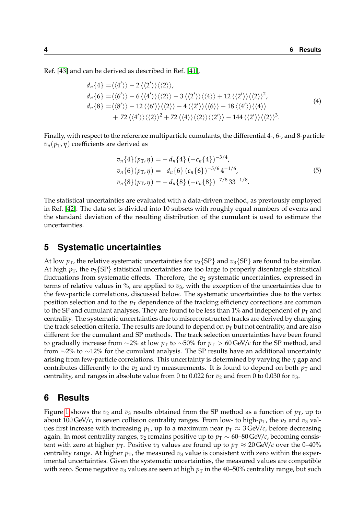Ref. [\[43\]](#page-12-12) and can be derived as described in Ref. [\[41\]](#page-12-11),

$$
d_n\{4\} = \langle \langle 4' \rangle \rangle - 2 \langle \langle 2' \rangle \rangle \langle \langle 2 \rangle \rangle,
$$
  
\n
$$
d_n\{6\} = \langle \langle 6' \rangle \rangle - 6 \langle \langle 4' \rangle \rangle \langle \langle 2 \rangle \rangle - 3 \langle \langle 2' \rangle \rangle \langle \langle 4 \rangle \rangle + 12 \langle \langle 2' \rangle \rangle \langle \langle 2 \rangle \rangle^2,
$$
  
\n
$$
d_n\{8\} = \langle \langle 8' \rangle \rangle - 12 \langle \langle 6' \rangle \rangle \langle \langle 2 \rangle \rangle - 4 \langle \langle 2' \rangle \rangle \langle \langle 6 \rangle \rangle - 18 \langle \langle 4' \rangle \rangle \langle \langle 4 \rangle \rangle
$$
  
\n
$$
+ 72 \langle \langle 4' \rangle \rangle \langle \langle 2 \rangle \rangle^2 + 72 \langle \langle 4 \rangle \rangle \langle \langle 2 \rangle \rangle \langle \langle 2' \rangle \rangle - 144 \langle \langle 2' \rangle \rangle \langle \langle 2 \rangle \rangle^3.
$$
  
\n(4)

Finally, with respect to the reference multiparticle cumulants, the differential 4-, 6-, and 8-particle  $v_n(p_T, \eta)$  coefficients are derived as

$$
v_n\{4\}(p_T, \eta) = -d_n\{4\} (-c_n\{4\})^{-3/4},
$$
  
\n
$$
v_n\{6\}(p_T, \eta) = d_n\{6\} (c_n\{6\})^{-5/6} 4^{-1/6},
$$
  
\n
$$
v_n\{8\}(p_T, \eta) = -d_n\{8\} (-c_n\{8\})^{-7/8} 33^{-1/8}.
$$
\n(5)

The statistical uncertainties are evaluated with a data-driven method, as previously employed in Ref. [\[42\]](#page-12-13). The data set is divided into 10 subsets with roughly equal numbers of events and the standard deviation of the resulting distribution of the cumulant is used to estimate the uncertainties.

## **5 Systematic uncertainties**

At low  $p_T$ , the relative systematic uncertainties for  $v_2$ {SP} and  $v_3$ {SP} are found to be similar. At high  $p_T$ , the  $v_3$ {SP} statistical uncertainties are too large to properly disentangle statistical fluctuations from systematic effects. Therefore, the  $v_2$  systematic uncertainties, expressed in terms of relative values in  $\%$ , are applied to  $v_3$ , with the exception of the uncertainties due to the few-particle correlations, discussed below. The systematic uncertainties due to the vertex position selection and to the  $p<sub>T</sub>$  dependence of the tracking efficiency corrections are common to the SP and cumulant analyses. They are found to be less than  $1\%$  and independent of  $p_T$  and centrality. The systematic uncertainties due to misreconstructed tracks are derived by changing the track selection criteria. The results are found to depend on  $p<sub>T</sub>$  but not centrality, and are also different for the cumulant and SP methods. The track selection uncertainties have been found to gradually increase from ∼2% at low  $p_T$  to ~50% for  $p_T > 60$  GeV/*c* for the SP method, and from ∼2% to ∼12% for the cumulant analysis. The SP results have an additional uncertainty arising from few-particle correlations. This uncertainty is determined by varying the *η* gap and contributes differently to the  $v_2$  and  $v_3$  measurements. It is found to depend on both  $p_T$  and centrality, and ranges in absolute value from 0 to 0.022 for  $v_2$  and from 0 to 0.030 for  $v_3$ .

## **6 Results**

Figure [1](#page-6-0) shows the  $v_2$  and  $v_3$  results obtained from the SP method as a function of  $p_T$ , up to about 100 GeV/*c*, in seven collision centrality ranges. From low- to high- $p_T$ , the  $v_2$  and  $v_3$  values first increase with increasing  $p<sub>T</sub>$ , up to a maximum near  $p<sub>T</sub> \approx 3$  GeV/*c*, before decreasing again. In most centrality ranges,  $v_2$  remains positive up to  $p<sub>T</sub> \sim 60$ –80 GeV/*c*, becoming consistent with zero at higher  $p<sub>T</sub>$ . Positive  $v<sub>3</sub>$  values are found up to  $p<sub>T</sub> \approx 20 \text{ GeV}/c$  over the 0–40% centrality range. At higher  $p<sub>T</sub>$ , the measured  $v<sub>3</sub>$  value is consistent with zero within the experimental uncertainties. Given the systematic uncertainties, the measured values are compatible with zero. Some negative  $v_3$  values are seen at high  $p_T$  in the 40–50% centrality range, but such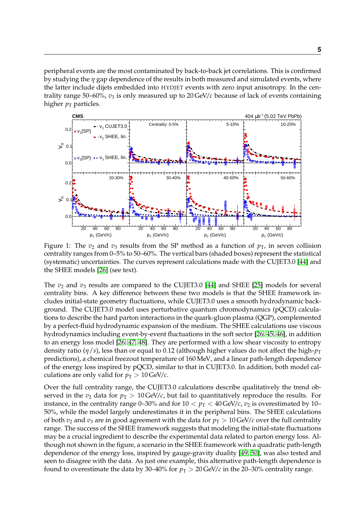peripheral events are the most contaminated by back-to-back jet correlations. This is confirmed by studying the *η* gap dependence of the results in both measured and simulated events, where the latter include dijets embedded into HYDJET events with zero input anisotropy. In the centrality range 50–60%,  $v_3$  is only measured up to 20 GeV/*c* because of lack of events containing higher  $p_T$  particles.

<span id="page-6-0"></span>

Figure 1: The  $v_2$  and  $v_3$  results from the SP method as a function of  $p_T$ , in seven collision centrality ranges from 0–5% to 50–60%. The vertical bars (shaded boxes) represent the statistical (systematic) uncertainties. The curves represent calculations made with the CUJET3.0 [\[44\]](#page-13-0) and the SHEE models [\[26\]](#page-11-7) (see text).

The  $v_2$  and  $v_3$  results are compared to the CUJET3.0 [\[44\]](#page-13-0) and SHEE [\[25\]](#page-11-6) models for several centrality bins. A key difference between these two models is that the SHEE framework includes initial-state geometry fluctuations, while CUJET3.0 uses a smooth hydrodynamic background. The CUJET3.0 model uses perturbative quantum chromodynamics (pQCD) calculations to describe the hard parton interactions in the quark-gluon plasma (QGP), complemented by a perfect-fluid hydrodynamic expansion of the medium. The SHEE calculations use viscous hydrodynamics including event-by-event fluctuations in the soft sector [\[26,](#page-11-7) [45,](#page-13-1) [46\]](#page-13-2), in addition to an energy loss model [\[26,](#page-11-7) [47,](#page-13-3) [48\]](#page-13-4). They are performed with a low shear viscosity to entropy density ratio ( $\eta$ /*s*), less than or equal to 0.12 (although higher values do not affect the high- $p_T$ predictions), a chemical freezout temperature of 160 MeV, and a linear path-length dependence of the energy loss inspired by pQCD, similar to that in CUJET3.0. In addition, both model calculations are only valid for  $p_T > 10$  GeV/*c*.

Over the full centrality range, the CUJET3.0 calculations describe qualitatively the trend observed in the  $v_2$  data for  $p_T > 10$  GeV/*c*, but fail to quantitatively reproduce the results. For instance, in the centrality range  $0-30\%$  and for  $10 < p_T < 40$  GeV/*c*,  $v_2$  is overestimated by 10– 50%, while the model largely underestimates it in the peripheral bins. The SHEE calculations of both  $v_2$  and  $v_3$  are in good agreement with the data for  $p_T > 10$  GeV/*c* over the full centrality range. The success of the SHEE framework suggests that modeling the initial-state fluctuations may be a crucial ingredient to describe the experimental data related to parton energy loss. Although not shown in the figure, a scenario in the SHEE framework with a quadratic path-length dependence of the energy loss, inspired by gauge-gravity duality [\[49,](#page-13-5) [50\]](#page-13-6), was also tested and seen to disagree with the data. As just one example, this alternative path-length dependence is found to overestimate the data by 30–40% for  $p<sub>T</sub> > 20$  GeV/*c* in the 20–30% centrality range.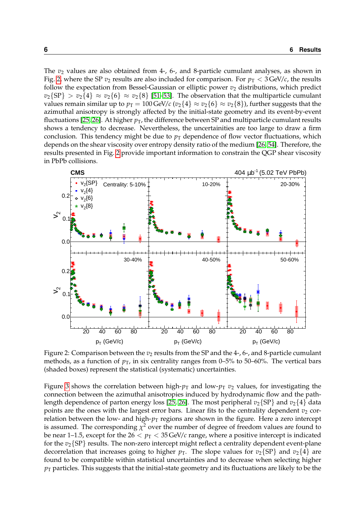The  $v_2$  values are also obtained from 4-, 6-, and 8-particle cumulant analyses, as shown in Fig. [2,](#page-7-0) where the SP  $v_2$  results are also included for comparison. For  $p_T < 3$  GeV/*c*, the results follow the expectation from Bessel-Gaussian or elliptic power  $v_2$  distributions, which predict  $v_2$ {SP} >  $v_2$ {4}  $\approx v_2$ {6}  $\approx v_2$ {8} [\[51–](#page-13-7)[53\]](#page-13-8). The observation that the multiparticle cumulant values remain similar up to  $p_T = 100$  GeV/*c* ( $v_2\{4\} \approx v_2\{6\} \approx v_2\{8\}$ ), further suggests that the azimuthal anisotropy is strongly affected by the initial-state geometry and its event-by-event fluctuations [\[25,](#page-11-6) [26\]](#page-11-7). At higher  $p<sub>T</sub>$ , the difference between SP and multiparticle cumulant results shows a tendency to decrease. Nevertheless, the uncertainities are too large to draw a firm conclusion. This tendency might be due to  $p<sub>T</sub>$  dependence of flow vector fluctuations, which depends on the shear viscosity over entropy density ratio of the medium [\[26,](#page-11-7) [54\]](#page-13-9). Therefore, the results presented in Fig. [2](#page-7-0) provide important information to constrain the QGP shear viscosity in PbPb collisions.

<span id="page-7-0"></span>

Figure 2: Comparison between the  $v_2$  results from the SP and the 4-, 6-, and 8-particle cumulant methods, as a function of  $p<sub>T</sub>$ , in six centrality ranges from 0–5% to 50–60%. The vertical bars (shaded boxes) represent the statistical (systematic) uncertainties.

Figure [3](#page-8-0) shows the correlation between high- $p_T$  and low- $p_T$   $v_2$  values, for investigating the connection between the azimuthal anisotropies induced by hydrodynamic flow and the path-length dependence of parton energy loss [\[25,](#page-11-6) [26\]](#page-11-7). The most peripheral  $v_2$ {SP} and  $v_2$ {4} data points are the ones with the largest error bars. Linear fits to the centrality dependent  $v_2$  correlation between the low- and high- $p<sub>T</sub>$  regions are shown in the figure. Here a zero intercept is assumed. The corresponding  $\chi^2$  over the number of degree of freedom values are found to be near 1–1.5, except for the  $26 < p_T < 35$  GeV/*c* range, where a positive intercept is indicated for the *v*2{SP} results. The non-zero intercept might reflect a centrality dependent event-plane decorrelation that increases going to higher  $p<sub>T</sub>$ . The slope values for  $v<sub>2</sub>{SP}$  and  $v<sub>2</sub>{4}$  are found to be compatible within statistical uncertainties and to decrease when selecting higher  $p<sub>T</sub>$  particles. This suggests that the initial-state geometry and its fluctuations are likely to be the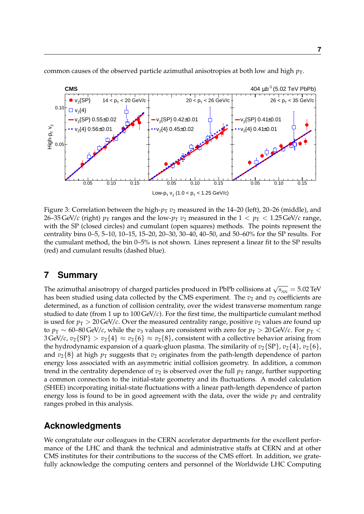

<span id="page-8-0"></span>common causes of the observed particle azimuthal anisotropies at both low and high  $p_T$ .

Figure 3: Correlation between the high- $p_T$   $v_2$  measured in the 14–20 (left), 20–26 (middle), and 26–35 GeV/*c* (right)  $p<sub>T</sub>$  ranges and the low- $p<sub>T</sub>$   $v<sub>2</sub>$  measured in the  $1 < p<sub>T</sub> < 1.25$  GeV/*c* range, with the SP (closed circles) and cumulant (open squares) methods. The points represent the centrality bins 0–5, 5–10, 10–15, 15–20, 20–30, 30–40, 40–50, and 50–60% for the SP results. For the cumulant method, the bin 0–5% is not shown. Lines represent a linear fit to the SP results (red) and cumulant results (dashed blue).

## **7 Summary**

The azimuthal anisotropy of charged particles produced in PbPb collisions at  $\sqrt{s_{_{\rm NN}}} = 5.02$  TeV has been studied using data collected by the CMS experiment. The  $v_2$  and  $v_3$  coefficients are determined, as a function of collision centrality, over the widest transverse momentum range studied to date (from 1 up to 100 GeV/*c*). For the first time, the multiparticle cumulant method is used for  $p_T > 20$  GeV/*c*. Over the measured centrality range, positive  $v_2$  values are found up to  $p_T \sim 60$ –80 GeV/*c*, while the  $v_3$  values are consistent with zero for  $p_T > 20$  GeV/*c*. For  $p_T <$ 3 GeV/*c*,  $v_2$ {SP} >  $v_2$ {4}  $\approx v_2$ {6}  $\approx v_2$ {8}, consistent with a collective behavior arising from the hydrodynamic expansion of a quark-gluon plasma. The similarity of  $v_2$ {SP},  $v_2$ {4},  $v_2$ {6}, and  $v_2\{8\}$  at high  $p_T$  suggests that  $v_2$  originates from the path-length dependence of parton energy loss associated with an asymmetric initial collision geometry. In addition, a common trend in the centrality dependence of  $v_2$  is observed over the full  $p_T$  range, further supporting a common connection to the initial-state geometry and its fluctuations. A model calculation (SHEE) incorporating initial-state fluctuations with a linear path-length dependence of parton energy loss is found to be in good agreement with the data, over the wide  $p<sub>T</sub>$  and centrality ranges probed in this analysis.

## **Acknowledgments**

We congratulate our colleagues in the CERN accelerator departments for the excellent performance of the LHC and thank the technical and administrative staffs at CERN and at other CMS institutes for their contributions to the success of the CMS effort. In addition, we gratefully acknowledge the computing centers and personnel of the Worldwide LHC Computing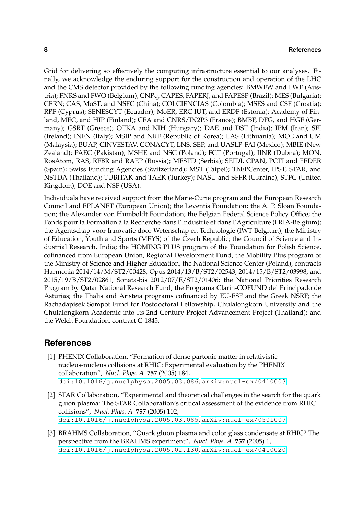Grid for delivering so effectively the computing infrastructure essential to our analyses. Finally, we acknowledge the enduring support for the construction and operation of the LHC and the CMS detector provided by the following funding agencies: BMWFW and FWF (Austria); FNRS and FWO (Belgium); CNPq, CAPES, FAPERJ, and FAPESP (Brazil); MES (Bulgaria); CERN; CAS, MoST, and NSFC (China); COLCIENCIAS (Colombia); MSES and CSF (Croatia); RPF (Cyprus); SENESCYT (Ecuador); MoER, ERC IUT, and ERDF (Estonia); Academy of Finland, MEC, and HIP (Finland); CEA and CNRS/IN2P3 (France); BMBF, DFG, and HGF (Germany); GSRT (Greece); OTKA and NIH (Hungary); DAE and DST (India); IPM (Iran); SFI (Ireland); INFN (Italy); MSIP and NRF (Republic of Korea); LAS (Lithuania); MOE and UM (Malaysia); BUAP, CINVESTAV, CONACYT, LNS, SEP, and UASLP-FAI (Mexico); MBIE (New Zealand); PAEC (Pakistan); MSHE and NSC (Poland); FCT (Portugal); JINR (Dubna); MON, RosAtom, RAS, RFBR and RAEP (Russia); MESTD (Serbia); SEIDI, CPAN, PCTI and FEDER (Spain); Swiss Funding Agencies (Switzerland); MST (Taipei); ThEPCenter, IPST, STAR, and NSTDA (Thailand); TUBITAK and TAEK (Turkey); NASU and SFFR (Ukraine); STFC (United Kingdom); DOE and NSF (USA).

Individuals have received support from the Marie-Curie program and the European Research Council and EPLANET (European Union); the Leventis Foundation; the A. P. Sloan Foundation; the Alexander von Humboldt Foundation; the Belgian Federal Science Policy Office; the Fonds pour la Formation a la Recherche dans l'Industrie et dans l'Agriculture (FRIA-Belgium); ` the Agentschap voor Innovatie door Wetenschap en Technologie (IWT-Belgium); the Ministry of Education, Youth and Sports (MEYS) of the Czech Republic; the Council of Science and Industrial Research, India; the HOMING PLUS program of the Foundation for Polish Science, cofinanced from European Union, Regional Development Fund, the Mobility Plus program of the Ministry of Science and Higher Education, the National Science Center (Poland), contracts Harmonia 2014/14/M/ST2/00428, Opus 2014/13/B/ST2/02543, 2014/15/B/ST2/03998, and 2015/19/B/ST2/02861, Sonata-bis 2012/07/E/ST2/01406; the National Priorities Research Program by Qatar National Research Fund; the Programa Clarín-COFUND del Principado de Asturias; the Thalis and Aristeia programs cofinanced by EU-ESF and the Greek NSRF; the Rachadapisek Sompot Fund for Postdoctoral Fellowship, Chulalongkorn University and the Chulalongkorn Academic into Its 2nd Century Project Advancement Project (Thailand); and the Welch Foundation, contract C-1845.

## **References**

- <span id="page-9-0"></span>[1] PHENIX Collaboration, "Formation of dense partonic matter in relativistic nucleus-nucleus collisions at RHIC: Experimental evaluation by the PHENIX collaboration", *Nucl. Phys. A* **757** (2005) 184, [doi:10.1016/j.nuclphysa.2005.03.086](http://dx.doi.org/10.1016/j.nuclphysa.2005.03.086), [arXiv:nucl-ex/0410003](http://www.arXiv.org/abs/nucl-ex/0410003).
- [2] STAR Collaboration, "Experimental and theoretical challenges in the search for the quark gluon plasma: The STAR Collaboration's critical assessment of the evidence from RHIC collisions", *Nucl. Phys. A* **757** (2005) 102, [doi:10.1016/j.nuclphysa.2005.03.085](http://dx.doi.org/10.1016/j.nuclphysa.2005.03.085), [arXiv:nucl-ex/0501009](http://www.arXiv.org/abs/nucl-ex/0501009).
- [3] BRAHMS Collaboration, "Quark gluon plasma and color glass condensate at RHIC? The perspective from the BRAHMS experiment", *Nucl. Phys. A* **757** (2005) 1, [doi:10.1016/j.nuclphysa.2005.02.130](http://dx.doi.org/10.1016/j.nuclphysa.2005.02.130), [arXiv:nucl-ex/0410020](http://www.arXiv.org/abs/nucl-ex/0410020).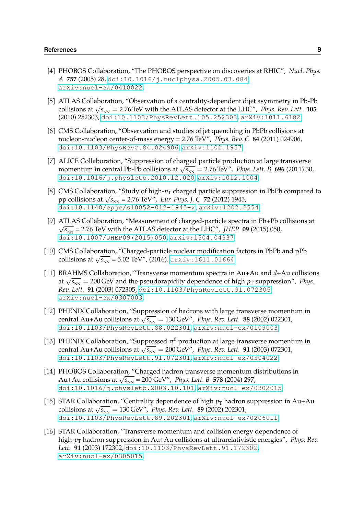- <span id="page-10-0"></span>[4] PHOBOS Collaboration, "The PHOBOS perspective on discoveries at RHIC", *Nucl. Phys. A* **757** (2005) 28, [doi:10.1016/j.nuclphysa.2005.03.084](http://dx.doi.org/10.1016/j.nuclphysa.2005.03.084), [arXiv:nucl-ex/0410022](http://www.arXiv.org/abs/nucl-ex/0410022).
- <span id="page-10-1"></span>[5] ATLAS Collaboration, "Observation of a centrality-dependent dijet asymmetry in Pb-Pb  $\alpha$  EXITERS Conaboration, Coservation of a centrality-dependent dijet asymmetry in Fb-Ft collisions at  $\sqrt{s_{_{NN}}}$  = 2.76 TeV with the ATLAS detector at the LHC", *Phys. Rev. Lett.* **105** (2010) 252303, [doi:10.1103/PhysRevLett.105.252303](http://dx.doi.org/10.1103/PhysRevLett.105.252303), [arXiv:1011.6182](http://www.arXiv.org/abs/1011.6182).
- <span id="page-10-6"></span>[6] CMS Collaboration, "Observation and studies of jet quenching in PbPb collisions at nucleon-nucleon center-of-mass energy = 2.76 TeV", *Phys. Rev. C* **84** (2011) 024906, [doi:10.1103/PhysRevC.84.024906](http://dx.doi.org/10.1103/PhysRevC.84.024906), [arXiv:1102.1957](http://www.arXiv.org/abs/1102.1957).
- <span id="page-10-5"></span>[7] ALICE Collaboration, "Suppression of charged particle production at large transverse ALICE Conaboration, Suppression of charged particle production at large transverse momentum in central Pb-Pb collisions at  $\sqrt{s_{_{NN}}}$  = 2.76 TeV", *Phys. Lett. B* **696** (2011) 30, [doi:10.1016/j.physletb.2010.12.020](http://dx.doi.org/10.1016/j.physletb.2010.12.020), [arXiv:1012.1004](http://www.arXiv.org/abs/1012.1004).
- [8] CMS Collaboration, "Study of high- $p<sub>T</sub>$  charged particle suppression in PbPb compared to  $\sum_{i=1}^{\infty}$  Conaboration,  $\sum_{i=1}^{\infty}$  Study of high- $p_T$  charged particle suppress<br>pp collisions at  $\sqrt{s_{_{NN}}}$  = 2.76 TeV", *Eur. Phys. J. C* 72 (2012) 1945, [doi:10.1140/epjc/s10052-012-1945-x](http://dx.doi.org/10.1140/epjc/s10052-012-1945-x), [arXiv:1202.2554](http://www.arXiv.org/abs/1202.2554).
- [9] ATLAS Collaboration, "Measurement of charged-particle spectra in Pb+Pb collisions at √  $\sqrt{s_{_{NN}}}$  = 2.76 TeV with the ATLAS detector at the LHC", *JHEP* **09** (2015) 050, [doi:10.1007/JHEP09\(2015\)050](http://dx.doi.org/10.1007/JHEP09(2015)050), [arXiv:1504.04337](http://www.arXiv.org/abs/1504.04337).
- <span id="page-10-2"></span>[10] CMS Collaboration, "Charged-particle nuclear modification factors in PbPb and pPb  $\frac{1}{100}$  Conaboration, Charged-particle nuclear modification collisions at  $\sqrt{s_{NN}}$  = 5.02 TeV", (2016). [arXiv:1611.01664](http://www.arXiv.org/abs/1611.01664).
- <span id="page-10-3"></span>[11] BRAHMS Collaboration, "Transverse momentum spectra in Au+Au and *d*+Au collisions  $\alpha$ <sup>1</sup>  $\sqrt{s_{_{NN}}}$  = 200 GeV and the pseudorapidity dependence of high  $p_T$  suppression", *Phys. Rev. Lett.* **91** (2003) 072305, [doi:10.1103/PhysRevLett.91.072305](http://dx.doi.org/10.1103/PhysRevLett.91.072305), [arXiv:nucl-ex/0307003](http://www.arXiv.org/abs/nucl-ex/0307003).
- [12] PHENIX Collaboration, "Suppression of hadrons with large transverse momentum in  $r$  HENIX Conaboration, Suppression of nadrons with large transverse moment central Au+Au collisions at  $\sqrt{s_{_{NN}}}$  = 130 GeV", *Phys. Rev. Lett.* **88** (2002) 022301, [doi:10.1103/PhysRevLett.88.022301](http://dx.doi.org/10.1103/PhysRevLett.88.022301), [arXiv:nucl-ex/0109003](http://www.arXiv.org/abs/nucl-ex/0109003).
- [13] PHENIX Collaboration, "Suppressed  $\pi^0$  production at large transverse momentum in  $r$  HENIX Conaboration, Suppressed  $\pi$  production at large transverse moment central Au+Au collisions at  $\sqrt{s_{_{NN}}}$  = 200 GeV", *Phys. Rev. Lett.* **91** (2003) 072301, [doi:10.1103/PhysRevLett.91.072301](http://dx.doi.org/10.1103/PhysRevLett.91.072301), [arXiv:nucl-ex/0304022](http://www.arXiv.org/abs/nucl-ex/0304022).
- [14] PHOBOS Collaboration, "Charged hadron transverse momentum distributions in  $P$  HOBOS Conaboration, Charged nadron transverse momentum of  $\Delta u + Au$  collisions at  $\sqrt{s_{NN}} = 200 \text{ GeV}$ , *Phys. Lett. B* 578 (2004) 297, [doi:10.1016/j.physletb.2003.10.101](http://dx.doi.org/10.1016/j.physletb.2003.10.101), [arXiv:nucl-ex/0302015](http://www.arXiv.org/abs/nucl-ex/0302015).
- [15] STAR Collaboration, "Centrality dependence of high  $p_T$  hadron suppression in Au+Au **STAK CONDOCATION, CENTRAITY dependence of right**  $p_{\text{T}}$  **hadron collisions at**  $\sqrt{s_{_{\text{NN}}}}$  **= 130 GeV",** *Phys. Rev. Lett.* **<b>89** (2002) 202301, [doi:10.1103/PhysRevLett.89.202301](http://dx.doi.org/10.1103/PhysRevLett.89.202301), [arXiv:nucl-ex/0206011](http://www.arXiv.org/abs/nucl-ex/0206011).
- <span id="page-10-4"></span>[16] STAR Collaboration, "Transverse momentum and collision energy dependence of high- $p<sub>T</sub>$  hadron suppression in Au+Au collisions at ultrarelativistic energies", *Phys. Rev. Lett.* **91** (2003) 172302, [doi:10.1103/PhysRevLett.91.172302](http://dx.doi.org/10.1103/PhysRevLett.91.172302), [arXiv:nucl-ex/0305015](http://www.arXiv.org/abs/nucl-ex/0305015).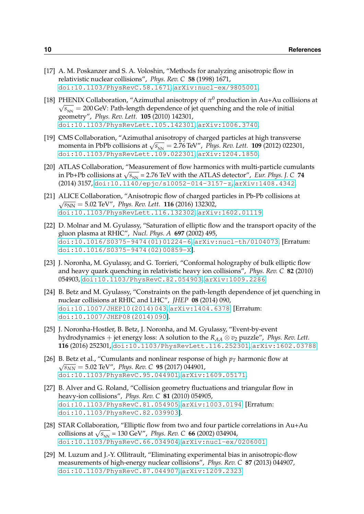- <span id="page-11-0"></span>[17] A. M. Poskanzer and S. A. Voloshin, "Methods for analyzing anisotropic flow in relativistic nuclear collisions", *Phys. Rev. C* **58** (1998) 1671, [doi:10.1103/PhysRevC.58.1671](http://dx.doi.org/10.1103/PhysRevC.58.1671), [arXiv:nucl-ex/9805001](http://www.arXiv.org/abs/nucl-ex/9805001).
- <span id="page-11-1"></span>[18] PHENIX Collaboration, "Azimuthal anisotropy of  $\pi^0$  production in Au+Au collisions at  $\sqrt{s_{_{NN}}}$  = 200 GeV: Path-length dependence of jet quenching and the role of initial geometry", *Phys. Rev. Lett.* **105** (2010) 142301, [doi:10.1103/PhysRevLett.105.142301](http://dx.doi.org/10.1103/PhysRevLett.105.142301), [arXiv:1006.3740](http://www.arXiv.org/abs/1006.3740).
- <span id="page-11-2"></span>[19] CMS Collaboration, "Azimuthal anisotropy of charged particles at high transverse  $\mu$ S Conaboration, Azimuthal anisotropy of charged particles at high transverse momenta in PbPb collisions at  $\sqrt{s_{_{NN}}}$  = 2.76 TeV", *Phys. Rev. Lett.* **109** (2012) 022301, [doi:10.1103/PhysRevLett.109.022301](http://dx.doi.org/10.1103/PhysRevLett.109.022301), [arXiv:1204.1850](http://www.arXiv.org/abs/1204.1850).
- [20] ATLAS Collaboration, "Measurement of flow harmonics with multi-particle cumulants  $\frac{1}{2}$  and  $\frac{1}{2}$  collaboration, we assume the fit of now narmonics with multi-particle cumulations at  $\sqrt{s_{_{NN}}}$  = 2.76 TeV with the ATLAS detector", *Eur. Phys. J. C* 74 (2014) 3157, [doi:10.1140/epjc/s10052-014-3157-z](http://dx.doi.org/10.1140/epjc/s10052-014-3157-z), [arXiv:1408.4342](http://www.arXiv.org/abs/1408.4342).
- <span id="page-11-3"></span>[21] ALICE Collaboration, "Anisotropic flow of charged particles in Pb-Pb collisions at  $\sqrt{s_{NN}}$  = 5.02 TeV", *Phys. Rev. Lett.* **116** (2016) 132302, [doi:10.1103/PhysRevLett.116.132302](http://dx.doi.org/10.1103/PhysRevLett.116.132302), [arXiv:1602.01119](http://www.arXiv.org/abs/1602.01119).
- <span id="page-11-4"></span>[22] D. Molnar and M. Gyulassy, "Saturation of elliptic flow and the transport opacity of the gluon plasma at RHIC", *Nucl. Phys. A* **697** (2002) 495, [doi:10.1016/S0375-9474\(01\)01224-6](http://dx.doi.org/10.1016/S0375-9474(01)01224-6), [arXiv:nucl-th/0104073](http://www.arXiv.org/abs/nucl-th/0104073). [Erratum: [doi:10.1016/S0375-9474\(02\)00859-X](http://dx.doi.org/10.1016/S0375-9474(02)00859-X)].
- [23] J. Noronha, M. Gyulassy, and G. Torrieri, "Conformal holography of bulk elliptic flow and heavy quark quenching in relativistic heavy ion collisions", *Phys. Rev. C* **82** (2010) 054903, [doi:10.1103/PhysRevC.82.054903](http://dx.doi.org/10.1103/PhysRevC.82.054903), [arXiv:1009.2286](http://www.arXiv.org/abs/1009.2286).
- <span id="page-11-5"></span>[24] B. Betz and M. Gyulassy, "Constraints on the path-length dependence of jet quenching in nuclear collisions at RHIC and LHC", *JHEP* **08** (2014) 090, [doi:10.1007/JHEP10\(2014\)043](http://dx.doi.org/10.1007/JHEP10(2014)043), [arXiv:1404.6378](http://www.arXiv.org/abs/1404.6378). [Erratum: [doi:10.1007/JHEP08\(2014\)090](http://dx.doi.org/10.1007/JHEP08(2014)090)].
- <span id="page-11-6"></span>[25] J. Noronha-Hostler, B. Betz, J. Noronha, and M. Gyulassy, "Event-by-event hydrodynamics + jet energy loss: A solution to the  $R_{AA} \otimes v_2$  puzzle", *Phys. Rev. Lett.* **116** (2016) 252301, [doi:10.1103/PhysRevLett.116.252301](http://dx.doi.org/10.1103/PhysRevLett.116.252301), [arXiv:1602.03788](http://www.arXiv.org/abs/1602.03788).
- <span id="page-11-7"></span>[26] B. Betz et al., "Cumulants and nonlinear response of high  $p_T$  harmonic flow at  $\sqrt{s_{NN}}$  = 5.02 TeV", *Phys. Rev. C* **95** (2017) 044901, [doi:10.1103/PhysRevC.95.044901](http://dx.doi.org/10.1103/PhysRevC.95.044901), [arXiv:1609.05171](http://www.arXiv.org/abs/1609.05171).
- <span id="page-11-8"></span>[27] B. Alver and G. Roland, "Collision geometry fluctuations and triangular flow in heavy-ion collisions", *Phys. Rev. C* **81** (2010) 054905, [doi:10.1103/PhysRevC.81.054905](http://dx.doi.org/10.1103/PhysRevC.81.054905), [arXiv:1003.0194](http://www.arXiv.org/abs/1003.0194). [Erratum: [doi:10.1103/PhysRevC.82.039903](http://dx.doi.org/10.1103/PhysRevC.82.039903)].
- <span id="page-11-9"></span>[28] STAR Collaboration, "Elliptic flow from two and four particle correlations in Au+Au  $\frac{1}{2}$  STAK Conaboration, Emplic how from two and four particle collisions at  $\sqrt{s_{NN}}$  = 130 GeV", *Phys. Rev. C* 66 (2002) 034904, [doi:10.1103/PhysRevC.66.034904](http://dx.doi.org/10.1103/PhysRevC.66.034904), [arXiv:nucl-ex/0206001](http://www.arXiv.org/abs/nucl-ex/0206001).
- <span id="page-11-10"></span>[29] M. Luzum and J.-Y. Ollitrault, "Eliminating experimental bias in anisotropic-flow measurements of high-energy nuclear collisions", *Phys. Rev. C* **87** (2013) 044907, [doi:10.1103/PhysRevC.87.044907](http://dx.doi.org/10.1103/PhysRevC.87.044907), [arXiv:1209.2323](http://www.arXiv.org/abs/1209.2323).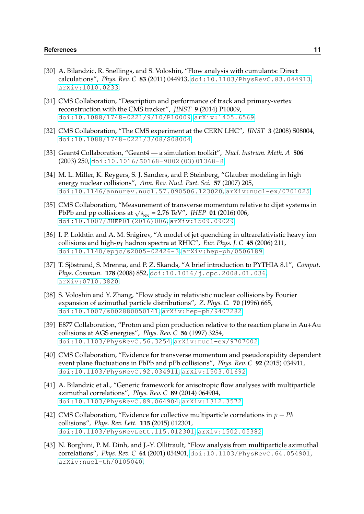- <span id="page-12-0"></span>[30] A. Bilandzic, R. Snellings, and S. Voloshin, "Flow analysis with cumulants: Direct calculations", *Phys. Rev. C* **83** (2011) 044913, [doi:10.1103/PhysRevC.83.044913](http://dx.doi.org/10.1103/PhysRevC.83.044913), [arXiv:1010.0233](http://www.arXiv.org/abs/1010.0233).
- <span id="page-12-1"></span>[31] CMS Collaboration, "Description and performance of track and primary-vertex reconstruction with the CMS tracker", *JINST* **9** (2014) P10009, [doi:10.1088/1748-0221/9/10/P10009](http://dx.doi.org/10.1088/1748-0221/9/10/P10009), [arXiv:1405.6569](http://www.arXiv.org/abs/1405.6569).
- <span id="page-12-2"></span>[32] CMS Collaboration, "The CMS experiment at the CERN LHC", *JINST* **3** (2008) S08004, [doi:10.1088/1748-0221/3/08/S08004](http://dx.doi.org/10.1088/1748-0221/3/08/S08004).
- <span id="page-12-3"></span>[33] Geant4 Collaboration, "Geant4 — a simulation toolkit", *Nucl. Instrum. Meth. A* **506** (2003) 250, [doi:10.1016/S0168-9002\(03\)01368-8](http://dx.doi.org/10.1016/S0168-9002(03)01368-8).
- <span id="page-12-4"></span>[34] M. L. Miller, K. Reygers, S. J. Sanders, and P. Steinberg, "Glauber modeling in high energy nuclear collisions", *Ann. Rev. Nucl. Part. Sci.* **57** (2007) 205, [doi:10.1146/annurev.nucl.57.090506.123020](http://dx.doi.org/10.1146/annurev.nucl.57.090506.123020), [arXiv:nucl-ex/0701025](http://www.arXiv.org/abs/nucl-ex/0701025).
- <span id="page-12-5"></span>[35] CMS Collaboration, "Measurement of transverse momentum relative to dijet systems in  $\epsilon$ NS Conaboration, weasurement of transverse momentum relations of  $\sqrt{s_{NN}}$  = 2.76 TeV", *JHEP* **01** (2016) 006, [doi:10.1007/JHEP01\(2016\)006](http://dx.doi.org/10.1007/JHEP01(2016)006), [arXiv:1509.09029](http://www.arXiv.org/abs/1509.09029).
- <span id="page-12-6"></span>[36] I. P. Lokhtin and A. M. Snigirev, "A model of jet quenching in ultrarelativistic heavy ion collisions and high-*p*<sup>T</sup> hadron spectra at RHIC", *Eur. Phys. J. C* **45** (2006) 211, [doi:10.1140/epjc/s2005-02426-3](http://dx.doi.org/10.1140/epjc/s2005-02426-3), [arXiv:hep-ph/0506189](http://www.arXiv.org/abs/hep-ph/0506189).
- <span id="page-12-7"></span>[37] T. Sjöstrand, S. Mrenna, and P. Z. Skands, "A brief introduction to PYTHIA 8.1", *Comput. Phys. Commun.* **178** (2008) 852, [doi:10.1016/j.cpc.2008.01.036](http://dx.doi.org/10.1016/j.cpc.2008.01.036), [arXiv:0710.3820](http://www.arXiv.org/abs/0710.3820).
- <span id="page-12-8"></span>[38] S. Voloshin and Y. Zhang, "Flow study in relativistic nuclear collisions by Fourier expansion of azimuthal particle distributions", *Z. Phys. C.* **70** (1996) 665, [doi:10.1007/s002880050141](http://dx.doi.org/10.1007/s002880050141), [arXiv:hep-ph/9407282](http://www.arXiv.org/abs/hep-ph/9407282).
- <span id="page-12-9"></span>[39] E877 Collaboration, "Proton and pion production relative to the reaction plane in Au+Au collisions at AGS energies", *Phys. Rev. C* **56** (1997) 3254, [doi:10.1103/PhysRevC.56.3254](http://dx.doi.org/10.1103/PhysRevC.56.3254), [arXiv:nucl-ex/9707002](http://www.arXiv.org/abs/nucl-ex/9707002).
- <span id="page-12-10"></span>[40] CMS Collaboration, "Evidence for transverse momentum and pseudorapidity dependent event plane fluctuations in PbPb and pPb collisions", *Phys. Rev. C* **92** (2015) 034911, [doi:10.1103/PhysRevC.92.034911](http://dx.doi.org/10.1103/PhysRevC.92.034911), [arXiv:1503.01692](http://www.arXiv.org/abs/1503.01692).
- <span id="page-12-11"></span>[41] A. Bilandzic et al., "Generic framework for anisotropic flow analyses with multiparticle azimuthal correlations", *Phys. Rev. C* **89** (2014) 064904, [doi:10.1103/PhysRevC.89.064904](http://dx.doi.org/10.1103/PhysRevC.89.064904), [arXiv:1312.3572](http://www.arXiv.org/abs/1312.3572).
- <span id="page-12-13"></span>[42] CMS Collaboration, "Evidence for collective multiparticle correlations in  $p - Pb$ collisions", *Phys. Rev. Lett.* **115** (2015) 012301, [doi:10.1103/PhysRevLett.115.012301](http://dx.doi.org/10.1103/PhysRevLett.115.012301), [arXiv:1502.05382](http://www.arXiv.org/abs/1502.05382).
- <span id="page-12-12"></span>[43] N. Borghini, P. M. Dinh, and J.-Y. Ollitrault, "Flow analysis from multiparticle azimuthal correlations", *Phys. Rev. C* **64** (2001) 054901, [doi:10.1103/PhysRevC.64.054901](http://dx.doi.org/10.1103/PhysRevC.64.054901), [arXiv:nucl-th/0105040](http://www.arXiv.org/abs/nucl-th/0105040).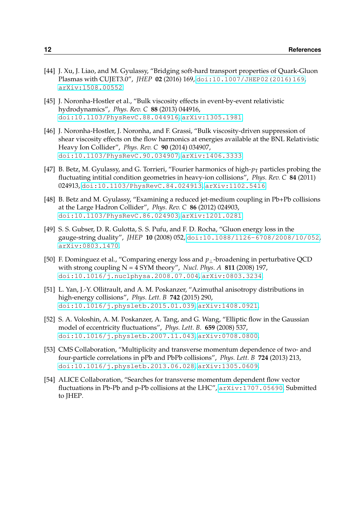- <span id="page-13-0"></span>[44] J. Xu, J. Liao, and M. Gyulassy, "Bridging soft-hard transport properties of Quark-Gluon Plasmas with CUJET3.0", *JHEP* **02** (2016) 169, [doi:10.1007/JHEP02\(2016\)169](http://dx.doi.org/10.1007/JHEP02(2016)169), [arXiv:1508.00552](http://www.arXiv.org/abs/1508.00552).
- <span id="page-13-1"></span>[45] J. Noronha-Hostler et al., "Bulk viscosity effects in event-by-event relativistic hydrodynamics", *Phys. Rev. C* **88** (2013) 044916, [doi:10.1103/PhysRevC.88.044916](http://dx.doi.org/10.1103/PhysRevC.88.044916), [arXiv:1305.1981](http://www.arXiv.org/abs/1305.1981).
- <span id="page-13-2"></span>[46] J. Noronha-Hostler, J. Noronha, and F. Grassi, "Bulk viscosity-driven suppression of shear viscosity effects on the flow harmonics at energies available at the BNL Relativistic Heavy Ion Collider", *Phys. Rev. C* **90** (2014) 034907, [doi:10.1103/PhysRevC.90.034907](http://dx.doi.org/10.1103/PhysRevC.90.034907), [arXiv:1406.3333](http://www.arXiv.org/abs/1406.3333).
- <span id="page-13-3"></span>[47] B. Betz, M. Gyulassy, and G. Torrieri, "Fourier harmonics of high- $p_T$  particles probing the fluctuating intitial condition geometries in heavy-ion collisions", *Phys. Rev. C* **84** (2011) 024913, [doi:10.1103/PhysRevC.84.024913](http://dx.doi.org/10.1103/PhysRevC.84.024913), [arXiv:1102.5416](http://www.arXiv.org/abs/1102.5416).
- <span id="page-13-4"></span>[48] B. Betz and M. Gyulassy, "Examining a reduced jet-medium coupling in Pb+Pb collisions at the Large Hadron Collider", *Phys. Rev. C* **86** (2012) 024903, [doi:10.1103/PhysRevC.86.024903](http://dx.doi.org/10.1103/PhysRevC.86.024903), [arXiv:1201.0281](http://www.arXiv.org/abs/1201.0281).
- <span id="page-13-5"></span>[49] S. S. Gubser, D. R. Gulotta, S. S. Pufu, and F. D. Rocha, "Gluon energy loss in the gauge-string duality", *JHEP* **10** (2008) 052, [doi:10.1088/1126-6708/2008/10/052](http://dx.doi.org/10.1088/1126-6708/2008/10/052), [arXiv:0803.1470](http://www.arXiv.org/abs/0803.1470).
- <span id="page-13-6"></span>[50] F. Dominguez et al., "Comparing energy loss and *p*⊥-broadening in perturbative QCD with strong coupling N = 4 SYM theory", *Nucl. Phys. A* **811** (2008) 197, [doi:10.1016/j.nuclphysa.2008.07.004](http://dx.doi.org/10.1016/j.nuclphysa.2008.07.004), [arXiv:0803.3234](http://www.arXiv.org/abs/0803.3234).
- <span id="page-13-7"></span>[51] L. Yan, J.-Y. Ollitrault, and A. M. Poskanzer, "Azimuthal anisotropy distributions in high-energy collisions", *Phys. Lett. B* **742** (2015) 290, [doi:10.1016/j.physletb.2015.01.039](http://dx.doi.org/10.1016/j.physletb.2015.01.039), [arXiv:1408.0921](http://www.arXiv.org/abs/1408.0921).
- [52] S. A. Voloshin, A. M. Poskanzer, A. Tang, and G. Wang, "Elliptic flow in the Gaussian model of eccentricity fluctuations", *Phys. Lett. B.* **659** (2008) 537, [doi:10.1016/j.physletb.2007.11.043](http://dx.doi.org/10.1016/j.physletb.2007.11.043), [arXiv:0708.0800](http://www.arXiv.org/abs/0708.0800).
- <span id="page-13-8"></span>[53] CMS Collaboration, "Multiplicity and transverse momentum dependence of two- and four-particle correlations in pPb and PbPb collisions", *Phys. Lett. B* **724** (2013) 213, [doi:10.1016/j.physletb.2013.06.028](http://dx.doi.org/10.1016/j.physletb.2013.06.028), [arXiv:1305.0609](http://www.arXiv.org/abs/1305.0609).
- <span id="page-13-9"></span>[54] ALICE Collaboration, "Searches for transverse momentum dependent flow vector fluctuations in Pb-Pb and p-Pb collisions at the LHC", [arXiv:1707.05690](http://www.arXiv.org/abs/1707.05690). Submitted to JHEP.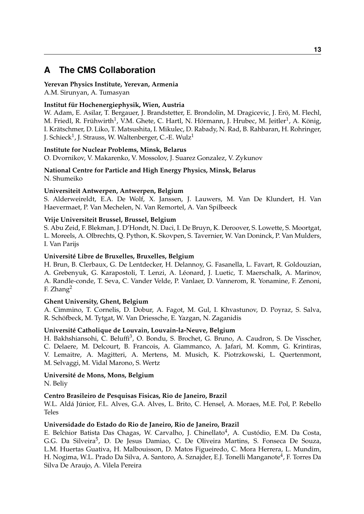## <span id="page-14-0"></span>**A The CMS Collaboration**

**Yerevan Physics Institute, Yerevan, Armenia**

A.M. Sirunyan, A. Tumasyan

## **Institut für Hochenergiephysik, Wien, Austria**

W. Adam, E. Asilar, T. Bergauer, J. Brandstetter, E. Brondolin, M. Dragicevic, J. Erö, M. Flechl, M. Friedl, R. Frühwirth<sup>1</sup>, V.M. Ghete, C. Hartl, N. Hörmann, J. Hrubec, M. Jeitler<sup>1</sup>, A. König, I. Krätschmer, D. Liko, T. Matsushita, I. Mikulec, D. Rabady, N. Rad, B. Rahbaran, H. Rohringer, J. Schieck $^1$ , J. Strauss, W. Waltenberger, C.-E. Wulz $^1$ 

## **Institute for Nuclear Problems, Minsk, Belarus**

O. Dvornikov, V. Makarenko, V. Mossolov, J. Suarez Gonzalez, V. Zykunov

## **National Centre for Particle and High Energy Physics, Minsk, Belarus** N. Shumeiko

## **Universiteit Antwerpen, Antwerpen, Belgium**

S. Alderweireldt, E.A. De Wolf, X. Janssen, J. Lauwers, M. Van De Klundert, H. Van Haevermaet, P. Van Mechelen, N. Van Remortel, A. Van Spilbeeck

## **Vrije Universiteit Brussel, Brussel, Belgium**

S. Abu Zeid, F. Blekman, J. D'Hondt, N. Daci, I. De Bruyn, K. Deroover, S. Lowette, S. Moortgat, L. Moreels, A. Olbrechts, Q. Python, K. Skovpen, S. Tavernier, W. Van Doninck, P. Van Mulders, I. Van Parijs

### **Universit´e Libre de Bruxelles, Bruxelles, Belgium**

H. Brun, B. Clerbaux, G. De Lentdecker, H. Delannoy, G. Fasanella, L. Favart, R. Goldouzian, A. Grebenyuk, G. Karapostoli, T. Lenzi, A. Léonard, J. Luetic, T. Maerschalk, A. Marinov, A. Randle-conde, T. Seva, C. Vander Velde, P. Vanlaer, D. Vannerom, R. Yonamine, F. Zenoni, F. Zhang<sup>2</sup>

## **Ghent University, Ghent, Belgium**

A. Cimmino, T. Cornelis, D. Dobur, A. Fagot, M. Gul, I. Khvastunov, D. Poyraz, S. Salva, R. Schöfbeck, M. Tytgat, W. Van Driessche, E. Yazgan, N. Zaganidis

## **Universit´e Catholique de Louvain, Louvain-la-Neuve, Belgium**

H. Bakhshiansohi, C. Beluffi<sup>3</sup>, O. Bondu, S. Brochet, G. Bruno, A. Caudron, S. De Visscher, C. Delaere, M. Delcourt, B. Francois, A. Giammanco, A. Jafari, M. Komm, G. Krintiras, V. Lemaitre, A. Magitteri, A. Mertens, M. Musich, K. Piotrzkowski, L. Quertenmont, M. Selvaggi, M. Vidal Marono, S. Wertz

## **Universit´e de Mons, Mons, Belgium**

N. Beliy

## **Centro Brasileiro de Pesquisas Fisicas, Rio de Janeiro, Brazil**

W.L. Aldá Júnior, F.L. Alves, G.A. Alves, L. Brito, C. Hensel, A. Moraes, M.E. Pol, P. Rebello Teles

## **Universidade do Estado do Rio de Janeiro, Rio de Janeiro, Brazil**

E. Belchior Batista Das Chagas, W. Carvalho, J. Chinellato<sup>4</sup>, A. Custódio, E.M. Da Costa, G.G. Da Silveira<sup>5</sup>, D. De Jesus Damiao, C. De Oliveira Martins, S. Fonseca De Souza, L.M. Huertas Guativa, H. Malbouisson, D. Matos Figueiredo, C. Mora Herrera, L. Mundim, H. Nogima, W.L. Prado Da Silva, A. Santoro, A. Sznajder, E.J. Tonelli Manganote<sup>4</sup>, F. Torres Da Silva De Araujo, A. Vilela Pereira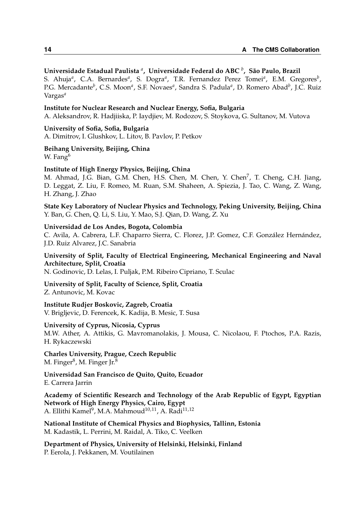## **Universidade Estadual Paulista** *<sup>a</sup>* **, Universidade Federal do ABC** *<sup>b</sup>* **, S ˜ao Paulo, Brazil**

S. Ahuja<sup>a</sup>, C.A. Bernardes<sup>a</sup>, S. Dogra<sup>a</sup>, T.R. Fernandez Perez Tomei<sup>a</sup>, E.M. Gregores<sup>b</sup>, P.G. Mercadante<sup>b</sup>, C.S. Moon<sup>a</sup>, S.F. Novaes<sup>a</sup>, Sandra S. Padula<sup>a</sup>, D. Romero Abad<sup>b</sup>, J.C. Ruiz Vargas*<sup>a</sup>*

#### **Institute for Nuclear Research and Nuclear Energy, Sofia, Bulgaria**

A. Aleksandrov, R. Hadjiiska, P. Iaydjiev, M. Rodozov, S. Stoykova, G. Sultanov, M. Vutova

#### **University of Sofia, Sofia, Bulgaria**

A. Dimitrov, I. Glushkov, L. Litov, B. Pavlov, P. Petkov

#### **Beihang University, Beijing, China** W. Fang $<sup>6</sup>$ </sup>

#### **Institute of High Energy Physics, Beijing, China**

M. Ahmad, J.G. Bian, G.M. Chen, H.S. Chen, M. Chen, Y. Chen<sup>7</sup>, T. Cheng, C.H. Jiang, D. Leggat, Z. Liu, F. Romeo, M. Ruan, S.M. Shaheen, A. Spiezia, J. Tao, C. Wang, Z. Wang, H. Zhang, J. Zhao

**State Key Laboratory of Nuclear Physics and Technology, Peking University, Beijing, China** Y. Ban, G. Chen, Q. Li, S. Liu, Y. Mao, S.J. Qian, D. Wang, Z. Xu

#### **Universidad de Los Andes, Bogota, Colombia**

C. Avila, A. Cabrera, L.F. Chaparro Sierra, C. Florez, J.P. Gomez, C.F. González Hernández, J.D. Ruiz Alvarez, J.C. Sanabria

### **University of Split, Faculty of Electrical Engineering, Mechanical Engineering and Naval Architecture, Split, Croatia**

N. Godinovic, D. Lelas, I. Puljak, P.M. Ribeiro Cipriano, T. Sculac

**University of Split, Faculty of Science, Split, Croatia** Z. Antunovic, M. Kovac

## **Institute Rudjer Boskovic, Zagreb, Croatia**

V. Brigljevic, D. Ferencek, K. Kadija, B. Mesic, T. Susa

#### **University of Cyprus, Nicosia, Cyprus**

M.W. Ather, A. Attikis, G. Mavromanolakis, J. Mousa, C. Nicolaou, F. Ptochos, P.A. Razis, H. Rykaczewski

## **Charles University, Prague, Czech Republic** M. Finger $^8$ , M. Finger Jr. $^8$

#### **Universidad San Francisco de Quito, Quito, Ecuador** E. Carrera Jarrin

**Academy of Scientific Research and Technology of the Arab Republic of Egypt, Egyptian Network of High Energy Physics, Cairo, Egypt** A. Ellithi Kamel<sup>9</sup>, M.A. Mahmoud<sup>10,11</sup>, A. Radi<sup>11,12</sup>

**National Institute of Chemical Physics and Biophysics, Tallinn, Estonia** M. Kadastik, L. Perrini, M. Raidal, A. Tiko, C. Veelken

**Department of Physics, University of Helsinki, Helsinki, Finland** P. Eerola, J. Pekkanen, M. Voutilainen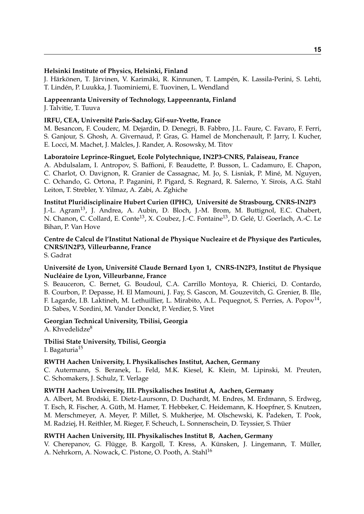#### **Helsinki Institute of Physics, Helsinki, Finland**

J. Härkönen, T. Järvinen, V. Karimäki, R. Kinnunen, T. Lampén, K. Lassila-Perini, S. Lehti, T. Linden, P. Luukka, J. Tuominiemi, E. Tuovinen, L. Wendland ´

# **Lappeenranta University of Technology, Lappeenranta, Finland**

J. Talvitie, T. Tuuva

#### **IRFU, CEA, Université Paris-Saclay, Gif-sur-Yvette, France**

M. Besancon, F. Couderc, M. Dejardin, D. Denegri, B. Fabbro, J.L. Faure, C. Favaro, F. Ferri, S. Ganjour, S. Ghosh, A. Givernaud, P. Gras, G. Hamel de Monchenault, P. Jarry, I. Kucher, E. Locci, M. Machet, J. Malcles, J. Rander, A. Rosowsky, M. Titov

### **Laboratoire Leprince-Ringuet, Ecole Polytechnique, IN2P3-CNRS, Palaiseau, France**

A. Abdulsalam, I. Antropov, S. Baffioni, F. Beaudette, P. Busson, L. Cadamuro, E. Chapon, C. Charlot, O. Davignon, R. Granier de Cassagnac, M. Jo, S. Lisniak, P. Miné, M. Nguyen, C. Ochando, G. Ortona, P. Paganini, P. Pigard, S. Regnard, R. Salerno, Y. Sirois, A.G. Stahl Leiton, T. Strebler, Y. Yilmaz, A. Zabi, A. Zghiche

Institut Pluridisciplinaire Hubert Curien (IPHC), Université de Strasbourg, CNRS-IN2P3 J.-L. Agram13, J. Andrea, A. Aubin, D. Bloch, J.-M. Brom, M. Buttignol, E.C. Chabert, N. Chanon, C. Collard, E. Conte<sup>13</sup>, X. Coubez, J.-C. Fontaine<sup>13</sup>, D. Gelé, U. Goerlach, A.-C. Le Bihan, P. Van Hove

**Centre de Calcul de l'Institut National de Physique Nucleaire et de Physique des Particules, CNRS/IN2P3, Villeurbanne, France** S. Gadrat

## Université de Lyon, Université Claude Bernard Lyon 1, CNRS-IN2P3, Institut de Physique **Nucl´eaire de Lyon, Villeurbanne, France**

S. Beauceron, C. Bernet, G. Boudoul, C.A. Carrillo Montoya, R. Chierici, D. Contardo, B. Courbon, P. Depasse, H. El Mamouni, J. Fay, S. Gascon, M. Gouzevitch, G. Grenier, B. Ille, F. Lagarde, I.B. Laktineh, M. Lethuillier, L. Mirabito, A.L. Pequegnot, S. Perries, A. Popov<sup>14</sup>, D. Sabes, V. Sordini, M. Vander Donckt, P. Verdier, S. Viret

**Georgian Technical University, Tbilisi, Georgia** A. Khvedelidze $8$ 

**Tbilisi State University, Tbilisi, Georgia** I. Bagaturia<sup>15</sup>

#### **RWTH Aachen University, I. Physikalisches Institut, Aachen, Germany**

C. Autermann, S. Beranek, L. Feld, M.K. Kiesel, K. Klein, M. Lipinski, M. Preuten, C. Schomakers, J. Schulz, T. Verlage

## **RWTH Aachen University, III. Physikalisches Institut A, Aachen, Germany**

A. Albert, M. Brodski, E. Dietz-Laursonn, D. Duchardt, M. Endres, M. Erdmann, S. Erdweg, T. Esch, R. Fischer, A. Güth, M. Hamer, T. Hebbeker, C. Heidemann, K. Hoepfner, S. Knutzen, M. Merschmeyer, A. Meyer, P. Millet, S. Mukherjee, M. Olschewski, K. Padeken, T. Pook, M. Radziej, H. Reithler, M. Rieger, F. Scheuch, L. Sonnenschein, D. Teyssier, S. Thuer ¨

#### **RWTH Aachen University, III. Physikalisches Institut B, Aachen, Germany**

V. Cherepanov, G. Flügge, B. Kargoll, T. Kress, A. Künsken, J. Lingemann, T. Müller, A. Nehrkorn, A. Nowack, C. Pistone, O. Pooth, A. Stahl<sup>16</sup>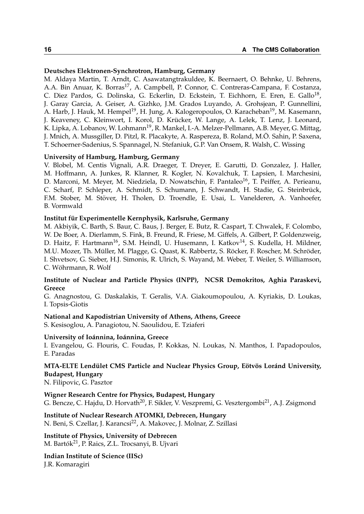#### **Deutsches Elektronen-Synchrotron, Hamburg, Germany**

M. Aldaya Martin, T. Arndt, C. Asawatangtrakuldee, K. Beernaert, O. Behnke, U. Behrens, A.A. Bin Anuar, K. Borras<sup>17</sup>, A. Campbell, P. Connor, C. Contreras-Campana, F. Costanza, C. Diez Pardos, G. Dolinska, G. Eckerlin, D. Eckstein, T. Eichhorn, E. Eren, E. Gallo<sup>18</sup>, J. Garay Garcia, A. Geiser, A. Gizhko, J.M. Grados Luyando, A. Grohsjean, P. Gunnellini, A. Harb, J. Hauk, M. Hempel<sup>19</sup>, H. Jung, A. Kalogeropoulos, O. Karacheban<sup>19</sup>, M. Kasemann, J. Keaveney, C. Kleinwort, I. Korol, D. Krücker, W. Lange, A. Lelek, T. Lenz, J. Leonard, K. Lipka, A. Lobanov, W. Lohmann<sup>19</sup>, R. Mankel, I.-A. Melzer-Pellmann, A.B. Meyer, G. Mittag, J. Mnich, A. Mussgiller, D. Pitzl, R. Placakyte, A. Raspereza, B. Roland, M.O. Sahin, P. Saxena, ¨ T. Schoerner-Sadenius, S. Spannagel, N. Stefaniuk, G.P. Van Onsem, R. Walsh, C. Wissing

#### **University of Hamburg, Hamburg, Germany**

V. Blobel, M. Centis Vignali, A.R. Draeger, T. Dreyer, E. Garutti, D. Gonzalez, J. Haller, M. Hoffmann, A. Junkes, R. Klanner, R. Kogler, N. Kovalchuk, T. Lapsien, I. Marchesini, D. Marconi, M. Meyer, M. Niedziela, D. Nowatschin, F. Pantaleo<sup>16</sup>, T. Peiffer, A. Perieanu, C. Scharf, P. Schleper, A. Schmidt, S. Schumann, J. Schwandt, H. Stadie, G. Steinbruck, ¨ F.M. Stober, M. Stöver, H. Tholen, D. Troendle, E. Usai, L. Vanelderen, A. Vanhoefer, B. Vormwald

## Institut für Experimentelle Kernphysik, Karlsruhe, Germany

M. Akbiyik, C. Barth, S. Baur, C. Baus, J. Berger, E. Butz, R. Caspart, T. Chwalek, F. Colombo, W. De Boer, A. Dierlamm, S. Fink, B. Freund, R. Friese, M. Giffels, A. Gilbert, P. Goldenzweig, D. Haitz, F. Hartmann<sup>16</sup>, S.M. Heindl, U. Husemann, I. Katkov<sup>14</sup>, S. Kudella, H. Mildner, M.U. Mozer, Th. Müller, M. Plagge, G. Quast, K. Rabbertz, S. Röcker, F. Roscher, M. Schröder, I. Shvetsov, G. Sieber, H.J. Simonis, R. Ulrich, S. Wayand, M. Weber, T. Weiler, S. Williamson, C. Wöhrmann, R. Wolf

## **Institute of Nuclear and Particle Physics (INPP), NCSR Demokritos, Aghia Paraskevi, Greece**

G. Anagnostou, G. Daskalakis, T. Geralis, V.A. Giakoumopoulou, A. Kyriakis, D. Loukas, I. Topsis-Giotis

## **National and Kapodistrian University of Athens, Athens, Greece**

S. Kesisoglou, A. Panagiotou, N. Saoulidou, E. Tziaferi

#### **University of Ioánnina, Ioánnina, Greece**

I. Evangelou, G. Flouris, C. Foudas, P. Kokkas, N. Loukas, N. Manthos, I. Papadopoulos, E. Paradas

## MTA-ELTE Lendület CMS Particle and Nuclear Physics Group, Eötvös Loránd University, **Budapest, Hungary**

N. Filipovic, G. Pasztor

**Wigner Research Centre for Physics, Budapest, Hungary** G. Bencze, C. Hajdu, D. Horvath<sup>20</sup>, F. Sikler, V. Veszpremi, G. Vesztergombi<sup>21</sup>, A.J. Zsigmond

**Institute of Nuclear Research ATOMKI, Debrecen, Hungary** N. Beni, S. Czellar, J. Karancsi<sup>22</sup>, A. Makovec, J. Molnar, Z. Szillasi

**Institute of Physics, University of Debrecen** M. Bartók<sup>21</sup>, P. Raics, Z.L. Trocsanyi, B. Ujvari

**Indian Institute of Science (IISc)** J.R. Komaragiri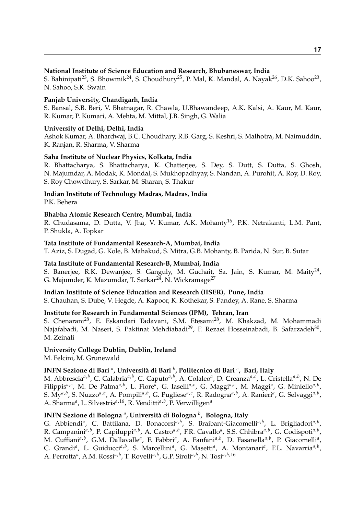#### **National Institute of Science Education and Research, Bhubaneswar, India**

S. Bahinipati<sup>23</sup>, S. Bhowmik<sup>24</sup>, S. Choudhury<sup>25</sup>, P. Mal, K. Mandal, A. Nayak<sup>26</sup>, D.K. Sahoo<sup>23</sup>, N. Sahoo, S.K. Swain

#### **Panjab University, Chandigarh, India**

S. Bansal, S.B. Beri, V. Bhatnagar, R. Chawla, U.Bhawandeep, A.K. Kalsi, A. Kaur, M. Kaur, R. Kumar, P. Kumari, A. Mehta, M. Mittal, J.B. Singh, G. Walia

#### **University of Delhi, Delhi, India**

Ashok Kumar, A. Bhardwaj, B.C. Choudhary, R.B. Garg, S. Keshri, S. Malhotra, M. Naimuddin, K. Ranjan, R. Sharma, V. Sharma

## **Saha Institute of Nuclear Physics, Kolkata, India**

R. Bhattacharya, S. Bhattacharya, K. Chatterjee, S. Dey, S. Dutt, S. Dutta, S. Ghosh, N. Majumdar, A. Modak, K. Mondal, S. Mukhopadhyay, S. Nandan, A. Purohit, A. Roy, D. Roy, S. Roy Chowdhury, S. Sarkar, M. Sharan, S. Thakur

#### **Indian Institute of Technology Madras, Madras, India** P.K. Behera

#### **Bhabha Atomic Research Centre, Mumbai, India**

R. Chudasama, D. Dutta, V. Jha, V. Kumar, A.K. Mohanty<sup>16</sup>, P.K. Netrakanti, L.M. Pant, P. Shukla, A. Topkar

#### **Tata Institute of Fundamental Research-A, Mumbai, India**

T. Aziz, S. Dugad, G. Kole, B. Mahakud, S. Mitra, G.B. Mohanty, B. Parida, N. Sur, B. Sutar

#### **Tata Institute of Fundamental Research-B, Mumbai, India**

S. Banerjee, R.K. Dewanjee, S. Ganguly, M. Guchait, Sa. Jain, S. Kumar, M. Maity<sup>24</sup>, G. Majumder, K. Mazumdar, T. Sarkar<sup>24</sup>, N. Wickramage<sup>27</sup>

#### **Indian Institute of Science Education and Research (IISER), Pune, India**

S. Chauhan, S. Dube, V. Hegde, A. Kapoor, K. Kothekar, S. Pandey, A. Rane, S. Sharma

#### **Institute for Research in Fundamental Sciences (IPM), Tehran, Iran**

S. Chenarani28, E. Eskandari Tadavani, S.M. Etesami28, M. Khakzad, M. Mohammadi Najafabadi, M. Naseri, S. Paktinat Mehdiabadi<sup>29</sup>, F. Rezaei Hosseinabadi, B. Safarzadeh<sup>30</sup>, M. Zeinali

#### **University College Dublin, Dublin, Ireland**

M. Felcini, M. Grunewald

## **INFN Sezione di Bari** *<sup>a</sup>* **, Universit`a di Bari** *<sup>b</sup>* **, Politecnico di Bari** *<sup>c</sup>* **, Bari, Italy**

M. Abbrescia<sup>*a*,*b*</sup>, C. Calabria<sup>*a*,*b*</sup>, C. Caputo<sup>*a*,*b*</sup>, A. Colaleo<sup>*a*</sup>, D. Creanza<sup>*a*,*c*</sup>, L. Cristella<sup>*a*,*b*</sup>, N. De Filippis<sup>a,c</sup>, M. De Palma<sup>a,b</sup>, L. Fiore<sup>a</sup>, G. Iaselli<sup>a,c</sup>, G. Maggi<sup>a,c</sup>, M. Maggi<sup>a</sup>, G. Miniello<sup>a,b</sup>, S. My*a*,*<sup>b</sup>* , S. Nuzzo*a*,*<sup>b</sup>* , A. Pompili*a*,*<sup>b</sup>* , G. Pugliese*a*,*<sup>c</sup>* , R. Radogna*a*,*<sup>b</sup>* , A. Ranieri*<sup>a</sup>* , G. Selvaggi*a*,*<sup>b</sup>* , A. Sharma*<sup>a</sup>* , L. Silvestris*a*,16, R. Venditti*a*,*<sup>b</sup>* , P. Verwilligen*<sup>a</sup>*

## **INFN Sezione di Bologna** *<sup>a</sup>* **, Universit`a di Bologna** *<sup>b</sup>* **, Bologna, Italy**

G. Abbiendi<sup>*a*</sup>, C. Battilana, D. Bonacorsi<sup>a,*b*</sup>, S. Braibant-Giacomelli<sup>a,*b*</sup>, L. Brigliadori<sup>a,*b*</sup>, R. Campanini<sup>a,b</sup>, P. Capiluppi<sup>a,b</sup>, A. Castro<sup>a,b</sup>, F.R. Cavallo<sup>a</sup>, S.S. Chhibra<sup>a,b</sup>, G. Codispoti<sup>a,b</sup>, M. Cuffiani<sup>a,b</sup>, G.M. Dallavalle<sup>a</sup>, F. Fabbri<sup>a</sup>, A. Fanfani<sup>a,b</sup>, D. Fasanella<sup>a,b</sup>, P. Giacomelli<sup>a</sup>, C. Grandi<sup>a</sup>, L. Guiducci<sup>a,b</sup>, S. Marcellini<sup>a</sup>, G. Masetti<sup>a</sup>, A. Montanari<sup>a</sup>, F.L. Navarria<sup>a,b</sup>, A. Perrotta*<sup>a</sup>* , A.M. Rossi*a*,*<sup>b</sup>* , T. Rovelli*a*,*<sup>b</sup>* , G.P. Siroli*a*,*<sup>b</sup>* , N. Tosi*a*,*b*,16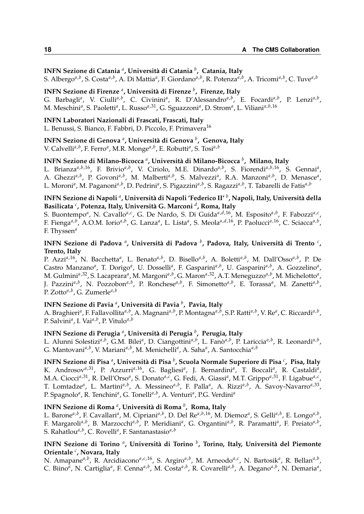## **INFN Sezione di Catania** *<sup>a</sup>* **, Universit`a di Catania** *<sup>b</sup>* **, Catania, Italy**

S. Albergo*a*,*<sup>b</sup>* , S. Costa*a*,*<sup>b</sup>* , A. Di Mattia*<sup>a</sup>* , F. Giordano*a*,*<sup>b</sup>* , R. Potenza*a*,*<sup>b</sup>* , A. Tricomi*a*,*<sup>b</sup>* , C. Tuve*a*,*<sup>b</sup>*

## **INFN Sezione di Firenze** *<sup>a</sup>* **, Universit`a di Firenze** *<sup>b</sup>* **, Firenze, Italy**

G. Barbagli<sup>a</sup>, V. Ciulli<sup>a,b</sup>, C. Civinini<sup>a</sup>, R. D'Alessandro<sup>a,b</sup>, E. Focardi<sup>a,b</sup>, P. Lenzi<sup>a,b</sup>, M. Meschini*<sup>a</sup>* , S. Paoletti*<sup>a</sup>* , L. Russo*a*,31, G. Sguazzoni*<sup>a</sup>* , D. Strom*<sup>a</sup>* , L. Viliani*a*,*b*,16

#### **INFN Laboratori Nazionali di Frascati, Frascati, Italy**

L. Benussi, S. Bianco, F. Fabbri, D. Piccolo, F. Primavera<sup>16</sup>

## **INFN Sezione di Genova** *<sup>a</sup>* **, Universit`a di Genova** *<sup>b</sup>* **, Genova, Italy**

V. Calvelli*a*,*<sup>b</sup>* , F. Ferro*<sup>a</sup>* , M.R. Monge*a*,*<sup>b</sup>* , E. Robutti*<sup>a</sup>* , S. Tosi*a*,*<sup>b</sup>*

## **INFN Sezione di Milano-Bicocca** *<sup>a</sup>* **, Universit`a di Milano-Bicocca** *<sup>b</sup>* **, Milano, Italy**

L. Brianza*a*,*b*,16, F. Brivio*a*,*<sup>b</sup>* , V. Ciriolo, M.E. Dinardo*a*,*<sup>b</sup>* , S. Fiorendi*a*,*b*,16, S. Gennai*<sup>a</sup>* , A. Ghezzi<sup>a,*b*</sup>, P. Govoni<sup>a,*b*</sup>, M. Malberti<sup>a,*b*</sup>, S. Malvezzi<sup>a</sup>, R.A. Manzoni<sup>a,*b*</sup>, D. Menasce<sup>a</sup>, L. Moroni*<sup>a</sup>* , M. Paganoni*a*,*<sup>b</sup>* , D. Pedrini*<sup>a</sup>* , S. Pigazzini*a*,*<sup>b</sup>* , S. Ragazzi*a*,*<sup>b</sup>* , T. Tabarelli de Fatis*a*,*<sup>b</sup>*

## INFN Sezione di Napoli*ª,* Università di Napoli 'Federico II' <sup>b</sup>, Napoli, Italy, Università della **Basilicata** *<sup>c</sup>* **, Potenza, Italy, Universit`a G. Marconi** *<sup>d</sup>* **, Roma, Italy**

S. Buontempo<sup>a</sup>, N. Cavallo<sup>a,c</sup>, G. De Nardo, S. Di Guida<sup>a,d,16</sup>, M. Esposito<sup>a,b</sup>, F. Fabozzi<sup>a,c</sup>, F. Fienga*a*,*<sup>b</sup>* , A.O.M. Iorio*a*,*<sup>b</sup>* , G. Lanza*<sup>a</sup>* , L. Lista*<sup>a</sup>* , S. Meola*a*,*d*,16, P. Paolucci*a*,16, C. Sciacca*a*,*<sup>b</sup>* , F. Thyssen*<sup>a</sup>*

## INFN Sezione di Padova <sup>a</sup>, Università di Padova <sup>b</sup>, Padova, Italy, Università di Trento <sup>*c*</sup>, **Trento, Italy**

P. Azzi*a*,16, N. Bacchetta*<sup>a</sup>* , L. Benato*a*,*<sup>b</sup>* , D. Bisello*a*,*<sup>b</sup>* , A. Boletti*a*,*<sup>b</sup>* , M. Dall'Osso*a*,*<sup>b</sup>* , P. De Castro Manzano<sup>a</sup>, T. Dorigo<sup>a</sup>, U. Dosselli<sup>a</sup>, F. Gasparini<sup>a,*b*</sup>, U. Gasparini<sup>a,*b*</sup>, A. Gozzelino<sup>a</sup>, M. Gulmini<sup>a,32</sup>, S. Lacaprara<sup>a</sup>, M. Margoni<sup>a,b</sup>, G. Maron<sup>a,32</sup>, A.T. Meneguzzo<sup>a,b</sup>, M. Michelotto<sup>a</sup>, J. Pazzini*a*,*<sup>b</sup>* , N. Pozzobon*a*,*<sup>b</sup>* , P. Ronchese*a*,*<sup>b</sup>* , F. Simonetto*a*,*<sup>b</sup>* , E. Torassa*<sup>a</sup>* , M. Zanetti*a*,*<sup>b</sup>* , P. Zotto*a*,*<sup>b</sup>* , G. Zumerle*a*,*<sup>b</sup>*

## **INFN Sezione di Pavia** *<sup>a</sup>* **, Universit`a di Pavia** *<sup>b</sup>* **, Pavia, Italy**

A. Braghieri<sup>a</sup>, F. Fallavollita<sup>a,b</sup>, A. Magnani<sup>a,b</sup>, P. Montagna<sup>a,b</sup>, S.P. Ratti<sup>a,b</sup>, V. Re<sup>a</sup>, C. Riccardi<sup>a,b</sup>, P. Salvini*<sup>a</sup>* , I. Vai*a*,*<sup>b</sup>* , P. Vitulo*a*,*<sup>b</sup>*

## **INFN Sezione di Perugia** *<sup>a</sup>* **, Universit`a di Perugia** *<sup>b</sup>* **, Perugia, Italy**

L. Alunni Solestizi<sup>a,b</sup>, G.M. Bilei<sup>a</sup>, D. Ciangottini<sup>a,b</sup>, L. Fanò<sup>a,b</sup>, P. Lariccia<sup>a,b</sup>, R. Leonardi<sup>a,b</sup>, G. Mantovani*a*,*<sup>b</sup>* , V. Mariani*a*,*<sup>b</sup>* , M. Menichelli*<sup>a</sup>* , A. Saha*<sup>a</sup>* , A. Santocchia*a*,*<sup>b</sup>*

**INFN Sezione di Pisa** *<sup>a</sup>* **, Universit`a di Pisa** *<sup>b</sup>* **, Scuola Normale Superiore di Pisa** *<sup>c</sup>* **, Pisa, Italy** K. Androsov*a*,31, P. Azzurri*a*,16, G. Bagliesi*<sup>a</sup>* , J. Bernardini*<sup>a</sup>* , T. Boccali*<sup>a</sup>* , R. Castaldi*<sup>a</sup>* , M.A. Ciocci<sup>a,31</sup>, R. Dell'Orso<sup>a</sup>, S. Donato<sup>a,c</sup>, G. Fedi, A. Giassi<sup>a</sup>, M.T. Grippo<sup>a,31</sup>, F. Ligabue<sup>a,c</sup>, T. Lomtadze<sup>a</sup>, L. Martini<sup>a,b</sup>, A. Messineo<sup>a,b</sup>, F. Palla<sup>a</sup>, A. Rizzi<sup>a,b</sup>, A. Savoy-Navarro<sup>a,33</sup>, P. Spagnolo*<sup>a</sup>* , R. Tenchini*<sup>a</sup>* , G. Tonelli*a*,*<sup>b</sup>* , A. Venturi*<sup>a</sup>* , P.G. Verdini*<sup>a</sup>*

## **INFN Sezione di Roma** *<sup>a</sup>* **, Universit`a di Roma** *<sup>b</sup>* **, Roma, Italy**

L. Barone<sup>a,b</sup>, F. Cavallari<sup>a</sup>, M. Cipriani<sup>a,b</sup>, D. Del Re<sup>a,b,16</sup>, M. Diemoz<sup>a</sup>, S. Gelli<sup>a,b</sup>, E. Longo<sup>a,b</sup>, F. Margaroli<sup>a,*b*</sup>, B. Marzocchi<sup>a,*b*</sup>, P. Meridiani<sup>a</sup>, G. Organtini<sup>a,*b*</sup>, R. Paramatti<sup>a</sup>, F. Preiato<sup>a,*b*</sup>, S. Rahatlou*a*,*<sup>b</sup>* , C. Rovelli*<sup>a</sup>* , F. Santanastasio*a*,*<sup>b</sup>*

## INFN Sezione di Torino<sup>a</sup>, Università di Torino<sup>b</sup>, Torino, Italy, Università del Piemonte **Orientale** *<sup>c</sup>* **, Novara, Italy**

N. Amapane<sup>a,b</sup>, R. Arcidiacono<sup>a,c,16</sup>, S. Argiro<sup>a,b</sup>, M. Arneodo<sup>a,c</sup>, N. Bartosik<sup>a</sup>, R. Bellan<sup>a,b</sup>, C. Biino<sup>a</sup>, N. Cartiglia<sup>a</sup>, F. Cenna<sup>a,b</sup>, M. Costa<sup>a,b</sup>, R. Covarelli<sup>a,b</sup>, A. Degano<sup>a,b</sup>, N. Demaria<sup>a</sup>,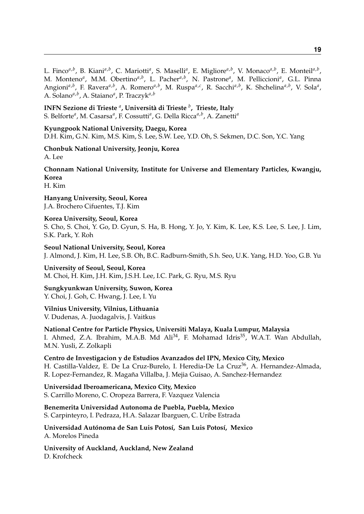L. Finco<sup>a,*b*</sup>, B. Kiani<sup>a,*b*</sup>, C. Mariotti<sup>a</sup>, S. Maselli<sup>a</sup>, E. Migliore<sup>a,*b*</sup>, V. Monaco<sup>a,*b*</sup>, E. Monteil<sup>a,*b*</sup>, M. Monteno*<sup>a</sup>* , M.M. Obertino*a*,*<sup>b</sup>* , L. Pacher*a*,*<sup>b</sup>* , N. Pastrone*<sup>a</sup>* , M. Pelliccioni*<sup>a</sup>* , G.L. Pinna Angioni<sup>a,*b*</sup>, F. Ravera<sup>a,*b*</sup>, A. Romero<sup>a,*b*</sup>, M. Ruspa<sup>a,c</sup>, R. Sacchi<sup>a,*b*</sup>, K. Shchelina<sup>a,*b*</sup>, V. Sola<sup>a</sup>, A. Solano*a*,*<sup>b</sup>* , A. Staiano*<sup>a</sup>* , P. Traczyk*a*,*<sup>b</sup>*

**INFN Sezione di Trieste** *<sup>a</sup>* **, Universit`a di Trieste** *<sup>b</sup>* **, Trieste, Italy** S. Belforte*<sup>a</sup>* , M. Casarsa*<sup>a</sup>* , F. Cossutti*<sup>a</sup>* , G. Della Ricca*a*,*<sup>b</sup>* , A. Zanetti*<sup>a</sup>*

**Kyungpook National University, Daegu, Korea** D.H. Kim, G.N. Kim, M.S. Kim, S. Lee, S.W. Lee, Y.D. Oh, S. Sekmen, D.C. Son, Y.C. Yang

**Chonbuk National University, Jeonju, Korea** A. Lee

**Chonnam National University, Institute for Universe and Elementary Particles, Kwangju, Korea** H. Kim

**Hanyang University, Seoul, Korea** J.A. Brochero Cifuentes, T.J. Kim

**Korea University, Seoul, Korea** S. Cho, S. Choi, Y. Go, D. Gyun, S. Ha, B. Hong, Y. Jo, Y. Kim, K. Lee, K.S. Lee, S. Lee, J. Lim, S.K. Park, Y. Roh

**Seoul National University, Seoul, Korea** J. Almond, J. Kim, H. Lee, S.B. Oh, B.C. Radburn-Smith, S.h. Seo, U.K. Yang, H.D. Yoo, G.B. Yu

**University of Seoul, Seoul, Korea** M. Choi, H. Kim, J.H. Kim, J.S.H. Lee, I.C. Park, G. Ryu, M.S. Ryu

**Sungkyunkwan University, Suwon, Korea** Y. Choi, J. Goh, C. Hwang, J. Lee, I. Yu

**Vilnius University, Vilnius, Lithuania** V. Dudenas, A. Juodagalvis, J. Vaitkus

**National Centre for Particle Physics, Universiti Malaya, Kuala Lumpur, Malaysia** I. Ahmed, Z.A. Ibrahim, M.A.B. Md Ali<sup>34</sup>, F. Mohamad Idris<sup>35</sup>, W.A.T. Wan Abdullah, M.N. Yusli, Z. Zolkapli

**Centro de Investigacion y de Estudios Avanzados del IPN, Mexico City, Mexico** H. Castilla-Valdez, E. De La Cruz-Burelo, I. Heredia-De La Cruz<sup>36</sup>, A. Hernandez-Almada, R. Lopez-Fernandez, R. Magaña Villalba, J. Mejia Guisao, A. Sanchez-Hernandez

**Universidad Iberoamericana, Mexico City, Mexico** S. Carrillo Moreno, C. Oropeza Barrera, F. Vazquez Valencia

**Benemerita Universidad Autonoma de Puebla, Puebla, Mexico** S. Carpinteyro, I. Pedraza, H.A. Salazar Ibarguen, C. Uribe Estrada

**Universidad Autónoma de San Luis Potosí, San Luis Potosí, Mexico** A. Morelos Pineda

**University of Auckland, Auckland, New Zealand** D. Krofcheck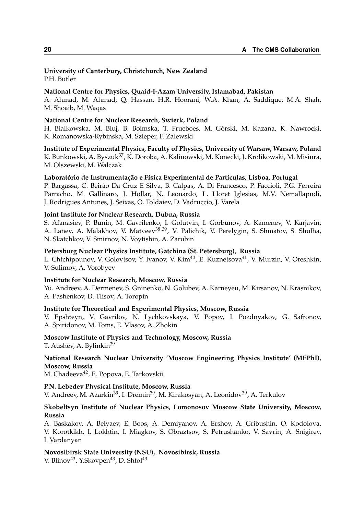## **University of Canterbury, Christchurch, New Zealand** P.H. Butler

#### **National Centre for Physics, Quaid-I-Azam University, Islamabad, Pakistan**

A. Ahmad, M. Ahmad, Q. Hassan, H.R. Hoorani, W.A. Khan, A. Saddique, M.A. Shah, M. Shoaib, M. Waqas

#### **National Centre for Nuclear Research, Swierk, Poland**

H. Bialkowska, M. Bluj, B. Boimska, T. Frueboes, M. Górski, M. Kazana, K. Nawrocki, K. Romanowska-Rybinska, M. Szleper, P. Zalewski

**Institute of Experimental Physics, Faculty of Physics, University of Warsaw, Warsaw, Poland** K. Bunkowski, A. Byszuk<sup>37</sup>, K. Doroba, A. Kalinowski, M. Konecki, J. Krolikowski, M. Misiura, M. Olszewski, M. Walczak

#### Laboratório de Instrumentação e Física Experimental de Partículas, Lisboa, Portugal

P. Bargassa, C. Beirão Da Cruz E Silva, B. Calpas, A. Di Francesco, P. Faccioli, P.G. Ferreira Parracho, M. Gallinaro, J. Hollar, N. Leonardo, L. Lloret Iglesias, M.V. Nemallapudi, J. Rodrigues Antunes, J. Seixas, O. Toldaiev, D. Vadruccio, J. Varela

#### **Joint Institute for Nuclear Research, Dubna, Russia**

S. Afanasiev, P. Bunin, M. Gavrilenko, I. Golutvin, I. Gorbunov, A. Kamenev, V. Karjavin, A. Lanev, A. Malakhov, V. Matveev<sup>38,39</sup>, V. Palichik, V. Perelygin, S. Shmatov, S. Shulha, N. Skatchkov, V. Smirnov, N. Voytishin, A. Zarubin

### **Petersburg Nuclear Physics Institute, Gatchina (St. Petersburg), Russia**

L. Chtchipounov, V. Golovtsov, Y. Ivanov, V. Kim<sup>40</sup>, E. Kuznetsova<sup>41</sup>, V. Murzin, V. Oreshkin, V. Sulimov, A. Vorobyev

#### **Institute for Nuclear Research, Moscow, Russia**

Yu. Andreev, A. Dermenev, S. Gninenko, N. Golubev, A. Karneyeu, M. Kirsanov, N. Krasnikov, A. Pashenkov, D. Tlisov, A. Toropin

#### **Institute for Theoretical and Experimental Physics, Moscow, Russia**

V. Epshteyn, V. Gavrilov, N. Lychkovskaya, V. Popov, I. Pozdnyakov, G. Safronov, A. Spiridonov, M. Toms, E. Vlasov, A. Zhokin

**Moscow Institute of Physics and Technology, Moscow, Russia** T. Aushev, A. Bylinkin<sup>39</sup>

## **National Research Nuclear University 'Moscow Engineering Physics Institute' (MEPhI), Moscow, Russia**

M. Chadeeva<sup>42</sup>, E. Popova, E. Tarkovskii

**P.N. Lebedev Physical Institute, Moscow, Russia**

V. Andreev, M. Azarkin<sup>39</sup>, I. Dremin<sup>39</sup>, M. Kirakosyan, A. Leonidov<sup>39</sup>, A. Terkulov

#### **Skobeltsyn Institute of Nuclear Physics, Lomonosov Moscow State University, Moscow, Russia**

A. Baskakov, A. Belyaev, E. Boos, A. Demiyanov, A. Ershov, A. Gribushin, O. Kodolova, V. Korotkikh, I. Lokhtin, I. Miagkov, S. Obraztsov, S. Petrushanko, V. Savrin, A. Snigirev, I. Vardanyan

**Novosibirsk State University (NSU), Novosibirsk, Russia**

V. Blinov<sup>43</sup>, Y.Skovpen<sup>43</sup>, D. Shtol<sup>43</sup>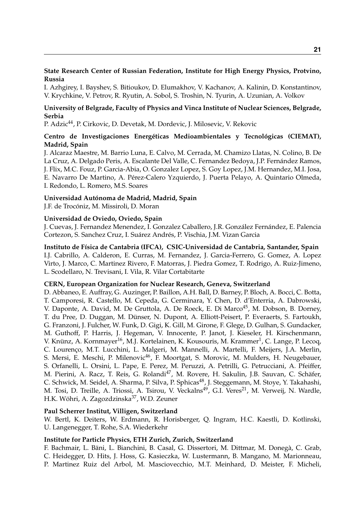## **State Research Center of Russian Federation, Institute for High Energy Physics, Protvino, Russia**

I. Azhgirey, I. Bayshev, S. Bitioukov, D. Elumakhov, V. Kachanov, A. Kalinin, D. Konstantinov, V. Krychkine, V. Petrov, R. Ryutin, A. Sobol, S. Troshin, N. Tyurin, A. Uzunian, A. Volkov

## **University of Belgrade, Faculty of Physics and Vinca Institute of Nuclear Sciences, Belgrade, Serbia**

P. Adzic<sup>44</sup>, P. Cirkovic, D. Devetak, M. Dordevic, J. Milosevic, V. Rekovic

## Centro de Investigaciones Energéticas Medioambientales y Tecnológicas (CIEMAT), **Madrid, Spain**

J. Alcaraz Maestre, M. Barrio Luna, E. Calvo, M. Cerrada, M. Chamizo Llatas, N. Colino, B. De La Cruz, A. Delgado Peris, A. Escalante Del Valle, C. Fernandez Bedoya, J.P. Fernández Ramos, J. Flix, M.C. Fouz, P. Garcia-Abia, O. Gonzalez Lopez, S. Goy Lopez, J.M. Hernandez, M.I. Josa, E. Navarro De Martino, A. Pérez-Calero Yzquierdo, J. Puerta Pelayo, A. Quintario Olmeda, I. Redondo, L. Romero, M.S. Soares

#### **Universidad Autónoma de Madrid, Madrid, Spain**

J.F. de Trocóniz, M. Missiroli, D. Moran

#### **Universidad de Oviedo, Oviedo, Spain**

J. Cuevas, J. Fernandez Menendez, I. Gonzalez Caballero, J.R. González Fernández, E. Palencia Cortezon, S. Sanchez Cruz, I. Suárez Andrés, P. Vischia, J.M. Vizan Garcia

## Instituto de Física de Cantabria (IFCA), CSIC-Universidad de Cantabria, Santander, Spain I.J. Cabrillo, A. Calderon, E. Curras, M. Fernandez, J. Garcia-Ferrero, G. Gomez, A. Lopez Virto, J. Marco, C. Martinez Rivero, F. Matorras, J. Piedra Gomez, T. Rodrigo, A. Ruiz-Jimeno, L. Scodellaro, N. Trevisani, I. Vila, R. Vilar Cortabitarte

## **CERN, European Organization for Nuclear Research, Geneva, Switzerland**

D. Abbaneo, E. Auffray, G. Auzinger, P. Baillon, A.H. Ball, D. Barney, P. Bloch, A. Bocci, C. Botta, T. Camporesi, R. Castello, M. Cepeda, G. Cerminara, Y. Chen, D. d'Enterria, A. Dabrowski, V. Daponte, A. David, M. De Gruttola, A. De Roeck, E. Di Marco<sup>45</sup>, M. Dobson, B. Dorney, T. du Pree, D. Duggan, M. Dunser, N. Dupont, A. Elliott-Peisert, P. Everaerts, S. Fartoukh, ¨ G. Franzoni, J. Fulcher, W. Funk, D. Gigi, K. Gill, M. Girone, F. Glege, D. Gulhan, S. Gundacker, M. Guthoff, P. Harris, J. Hegeman, V. Innocente, P. Janot, J. Kieseler, H. Kirschenmann, V. Knünz, A. Kornmayer<sup>16</sup>, M.J. Kortelainen, K. Kousouris, M. Krammer<sup>1</sup>, C. Lange, P. Lecoq, C. Lourenço, M.T. Lucchini, L. Malgeri, M. Mannelli, A. Martelli, F. Meijers, J.A. Merlin, S. Mersi, E. Meschi, P. Milenovic46, F. Moortgat, S. Morovic, M. Mulders, H. Neugebauer, S. Orfanelli, L. Orsini, L. Pape, E. Perez, M. Peruzzi, A. Petrilli, G. Petrucciani, A. Pfeiffer, M. Pierini, A. Racz, T. Reis, G. Rolandi<sup>47</sup>, M. Rovere, H. Sakulin, J.B. Sauvan, C. Schäfer, C. Schwick, M. Seidel, A. Sharma, P. Silva, P. Sphicas<sup>48</sup>, J. Steggemann, M. Stoye, Y. Takahashi, M. Tosi, D. Treille, A. Triossi, A. Tsirou, V. Veckalns<sup>49</sup>, G.I. Veres<sup>21</sup>, M. Verweij, N. Wardle, H.K. Wöhri*,* A. Zagozdzinska<sup>37</sup>, W.D. Zeuner

#### **Paul Scherrer Institut, Villigen, Switzerland**

W. Bertl, K. Deiters, W. Erdmann, R. Horisberger, Q. Ingram, H.C. Kaestli, D. Kotlinski, U. Langenegger, T. Rohe, S.A. Wiederkehr

#### **Institute for Particle Physics, ETH Zurich, Zurich, Switzerland**

F. Bachmair, L. Bäni, L. Bianchini, B. Casal, G. Dissertori, M. Dittmar, M. Donegà, C. Grab, C. Heidegger, D. Hits, J. Hoss, G. Kasieczka, W. Lustermann, B. Mangano, M. Marionneau, P. Martinez Ruiz del Arbol, M. Masciovecchio, M.T. Meinhard, D. Meister, F. Micheli,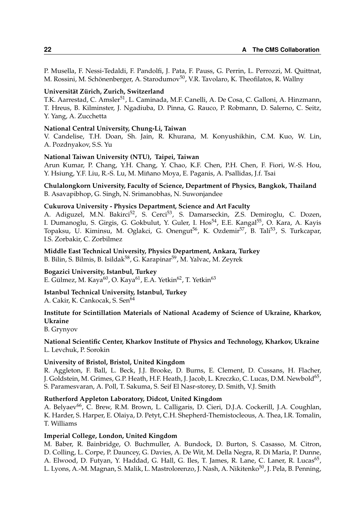P. Musella, F. Nessi-Tedaldi, F. Pandolfi, J. Pata, F. Pauss, G. Perrin, L. Perrozzi, M. Quittnat, M. Rossini, M. Schönenberger, A. Starodumov<sup>50</sup>, V.R. Tavolaro, K. Theofilatos, R. Wallny

#### Universität Zürich, Zurich, Switzerland

T.K. Aarrestad, C. Amsler<sup>51</sup>, L. Caminada, M.F. Canelli, A. De Cosa, C. Galloni, A. Hinzmann, T. Hreus, B. Kilminster, J. Ngadiuba, D. Pinna, G. Rauco, P. Robmann, D. Salerno, C. Seitz, Y. Yang, A. Zucchetta

#### **National Central University, Chung-Li, Taiwan**

V. Candelise, T.H. Doan, Sh. Jain, R. Khurana, M. Konyushikhin, C.M. Kuo, W. Lin, A. Pozdnyakov, S.S. Yu

#### **National Taiwan University (NTU), Taipei, Taiwan**

Arun Kumar, P. Chang, Y.H. Chang, Y. Chao, K.F. Chen, P.H. Chen, F. Fiori, W.-S. Hou, Y. Hsiung, Y.F. Liu, R.-S. Lu, M. Miñano Moya, E. Paganis, A. Psallidas, J.f. Tsai

**Chulalongkorn University, Faculty of Science, Department of Physics, Bangkok, Thailand** B. Asavapibhop, G. Singh, N. Srimanobhas, N. Suwonjandee

#### **Cukurova University - Physics Department, Science and Art Faculty**

A. Adiguzel, M.N. Bakirci<sup>52</sup>, S. Cerci<sup>53</sup>, S. Damarseckin, Z.S. Demiroglu, C. Dozen, I. Dumanoglu, S. Girgis, G. Gokbulut, Y. Guler, I. Hos<sup>54</sup>, E.E. Kangal<sup>55</sup>, O. Kara, A. Kayis Topaksu, U. Kiminsu, M. Oglakci, G. Onengut<sup>56</sup>, K. Ozdemir<sup>57</sup>, B. Tali<sup>53</sup>, S. Turkcapar, I.S. Zorbakir, C. Zorbilmez

**Middle East Technical University, Physics Department, Ankara, Turkey** B. Bilin, S. Bilmis, B. Isildak<sup>58</sup>, G. Karapinar<sup>59</sup>, M. Yalvac, M. Zeyrek

#### **Bogazici University, Istanbul, Turkey**

E. Gülmez, M. Kaya<sup>60</sup>, O. Kaya<sup>61</sup>, E.A. Yetkin<sup>62</sup>, T. Yetkin<sup>63</sup>

## **Istanbul Technical University, Istanbul, Turkey**

A. Cakir, K. Cankocak, S. Sen<sup>64</sup>

## **Institute for Scintillation Materials of National Academy of Science of Ukraine, Kharkov, Ukraine**

B. Grynyov

## **National Scientific Center, Kharkov Institute of Physics and Technology, Kharkov, Ukraine** L. Levchuk, P. Sorokin

#### **University of Bristol, Bristol, United Kingdom**

R. Aggleton, F. Ball, L. Beck, J.J. Brooke, D. Burns, E. Clement, D. Cussans, H. Flacher, , J. Goldstein, M. Grimes, G.P. Heath, H.F. Heath, J. Jacob, L. Kreczko, C. Lucas, D.M. Newbold<sup>65</sup> S. Paramesvaran, A. Poll, T. Sakuma, S. Seif El Nasr-storey, D. Smith, V.J. Smith

## **Rutherford Appleton Laboratory, Didcot, United Kingdom**

A. Belyaev<sup>66</sup>, C. Brew, R.M. Brown, L. Calligaris, D. Cieri, D.J.A. Cockerill, J.A. Coughlan, K. Harder, S. Harper, E. Olaiya, D. Petyt, C.H. Shepherd-Themistocleous, A. Thea, I.R. Tomalin, T. Williams

#### **Imperial College, London, United Kingdom**

M. Baber, R. Bainbridge, O. Buchmuller, A. Bundock, D. Burton, S. Casasso, M. Citron, D. Colling, L. Corpe, P. Dauncey, G. Davies, A. De Wit, M. Della Negra, R. Di Maria, P. Dunne, A. Elwood, D. Futyan, Y. Haddad, G. Hall, G. Iles, T. James, R. Lane, C. Laner, R. Lucas<sup>65</sup>, L. Lyons, A.-M. Magnan, S. Malik, L. Mastrolorenzo, J. Nash, A. Nikitenko<sup>50</sup>, J. Pela, B. Penning,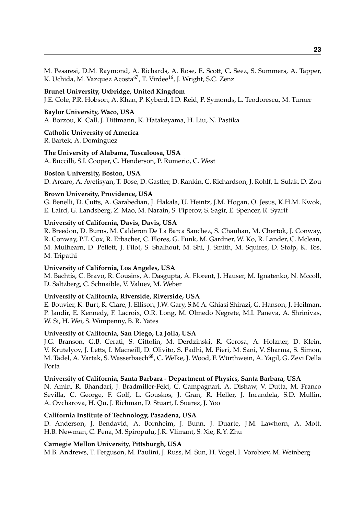M. Pesaresi, D.M. Raymond, A. Richards, A. Rose, E. Scott, C. Seez, S. Summers, A. Tapper, K. Uchida, M. Vazquez Acosta<sup>67</sup>, T. Virdee<sup>16</sup>, J. Wright, S.C. Zenz

#### **Brunel University, Uxbridge, United Kingdom**

J.E. Cole, P.R. Hobson, A. Khan, P. Kyberd, I.D. Reid, P. Symonds, L. Teodorescu, M. Turner

**Baylor University, Waco, USA** A. Borzou, K. Call, J. Dittmann, K. Hatakeyama, H. Liu, N. Pastika

**Catholic University of America** R. Bartek, A. Dominguez

#### **The University of Alabama, Tuscaloosa, USA**

A. Buccilli, S.I. Cooper, C. Henderson, P. Rumerio, C. West

#### **Boston University, Boston, USA**

D. Arcaro, A. Avetisyan, T. Bose, D. Gastler, D. Rankin, C. Richardson, J. Rohlf, L. Sulak, D. Zou

#### **Brown University, Providence, USA**

G. Benelli, D. Cutts, A. Garabedian, J. Hakala, U. Heintz, J.M. Hogan, O. Jesus, K.H.M. Kwok, E. Laird, G. Landsberg, Z. Mao, M. Narain, S. Piperov, S. Sagir, E. Spencer, R. Syarif

#### **University of California, Davis, Davis, USA**

R. Breedon, D. Burns, M. Calderon De La Barca Sanchez, S. Chauhan, M. Chertok, J. Conway, R. Conway, P.T. Cox, R. Erbacher, C. Flores, G. Funk, M. Gardner, W. Ko, R. Lander, C. Mclean, M. Mulhearn, D. Pellett, J. Pilot, S. Shalhout, M. Shi, J. Smith, M. Squires, D. Stolp, K. Tos, M. Tripathi

#### **University of California, Los Angeles, USA**

M. Bachtis, C. Bravo, R. Cousins, A. Dasgupta, A. Florent, J. Hauser, M. Ignatenko, N. Mccoll, D. Saltzberg, C. Schnaible, V. Valuev, M. Weber

#### **University of California, Riverside, Riverside, USA**

E. Bouvier, K. Burt, R. Clare, J. Ellison, J.W. Gary, S.M.A. Ghiasi Shirazi, G. Hanson, J. Heilman, P. Jandir, E. Kennedy, F. Lacroix, O.R. Long, M. Olmedo Negrete, M.I. Paneva, A. Shrinivas, W. Si, H. Wei, S. Wimpenny, B. R. Yates

#### **University of California, San Diego, La Jolla, USA**

J.G. Branson, G.B. Cerati, S. Cittolin, M. Derdzinski, R. Gerosa, A. Holzner, D. Klein, V. Krutelyov, J. Letts, I. Macneill, D. Olivito, S. Padhi, M. Pieri, M. Sani, V. Sharma, S. Simon, M. Tadel, A. Vartak, S. Wasserbaech<sup>68</sup>, C. Welke, J. Wood, F. Würthwein, A. Yagil, G. Zevi Della Porta

#### **University of California, Santa Barbara - Department of Physics, Santa Barbara, USA**

N. Amin, R. Bhandari, J. Bradmiller-Feld, C. Campagnari, A. Dishaw, V. Dutta, M. Franco Sevilla, C. George, F. Golf, L. Gouskos, J. Gran, R. Heller, J. Incandela, S.D. Mullin, A. Ovcharova, H. Qu, J. Richman, D. Stuart, I. Suarez, J. Yoo

#### **California Institute of Technology, Pasadena, USA**

D. Anderson, J. Bendavid, A. Bornheim, J. Bunn, J. Duarte, J.M. Lawhorn, A. Mott, H.B. Newman, C. Pena, M. Spiropulu, J.R. Vlimant, S. Xie, R.Y. Zhu

### **Carnegie Mellon University, Pittsburgh, USA**

M.B. Andrews, T. Ferguson, M. Paulini, J. Russ, M. Sun, H. Vogel, I. Vorobiev, M. Weinberg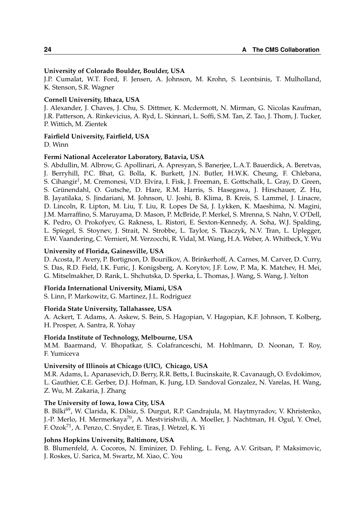#### **University of Colorado Boulder, Boulder, USA**

J.P. Cumalat, W.T. Ford, F. Jensen, A. Johnson, M. Krohn, S. Leontsinis, T. Mulholland, K. Stenson, S.R. Wagner

#### **Cornell University, Ithaca, USA**

J. Alexander, J. Chaves, J. Chu, S. Dittmer, K. Mcdermott, N. Mirman, G. Nicolas Kaufman, J.R. Patterson, A. Rinkevicius, A. Ryd, L. Skinnari, L. Soffi, S.M. Tan, Z. Tao, J. Thom, J. Tucker, P. Wittich, M. Zientek

#### **Fairfield University, Fairfield, USA**

D. Winn

#### **Fermi National Accelerator Laboratory, Batavia, USA**

S. Abdullin, M. Albrow, G. Apollinari, A. Apresyan, S. Banerjee, L.A.T. Bauerdick, A. Beretvas, J. Berryhill, P.C. Bhat, G. Bolla, K. Burkett, J.N. Butler, H.W.K. Cheung, F. Chlebana, S. Cihangir† , M. Cremonesi, V.D. Elvira, I. Fisk, J. Freeman, E. Gottschalk, L. Gray, D. Green, S. Grünendahl, O. Gutsche, D. Hare, R.M. Harris, S. Hasegawa, J. Hirschauer, Z. Hu, B. Jayatilaka, S. Jindariani, M. Johnson, U. Joshi, B. Klima, B. Kreis, S. Lammel, J. Linacre, D. Lincoln, R. Lipton, M. Liu, T. Liu, R. Lopes De Sá, J. Lykken, K. Maeshima, N. Magini, J.M. Marraffino, S. Maruyama, D. Mason, P. McBride, P. Merkel, S. Mrenna, S. Nahn, V. O'Dell, K. Pedro, O. Prokofyev, G. Rakness, L. Ristori, E. Sexton-Kennedy, A. Soha, W.J. Spalding, L. Spiegel, S. Stoynev, J. Strait, N. Strobbe, L. Taylor, S. Tkaczyk, N.V. Tran, L. Uplegger, E.W. Vaandering, C. Vernieri, M. Verzocchi, R. Vidal, M. Wang, H.A. Weber, A. Whitbeck, Y. Wu

#### **University of Florida, Gainesville, USA**

D. Acosta, P. Avery, P. Bortignon, D. Bourilkov, A. Brinkerhoff, A. Carnes, M. Carver, D. Curry, S. Das, R.D. Field, I.K. Furic, J. Konigsberg, A. Korytov, J.F. Low, P. Ma, K. Matchev, H. Mei, G. Mitselmakher, D. Rank, L. Shchutska, D. Sperka, L. Thomas, J. Wang, S. Wang, J. Yelton

#### **Florida International University, Miami, USA**

S. Linn, P. Markowitz, G. Martinez, J.L. Rodriguez

#### **Florida State University, Tallahassee, USA**

A. Ackert, T. Adams, A. Askew, S. Bein, S. Hagopian, V. Hagopian, K.F. Johnson, T. Kolberg, H. Prosper, A. Santra, R. Yohay

#### **Florida Institute of Technology, Melbourne, USA**

M.M. Baarmand, V. Bhopatkar, S. Colafranceschi, M. Hohlmann, D. Noonan, T. Roy, F. Yumiceva

### **University of Illinois at Chicago (UIC), Chicago, USA**

M.R. Adams, L. Apanasevich, D. Berry, R.R. Betts, I. Bucinskaite, R. Cavanaugh, O. Evdokimov, L. Gauthier, C.E. Gerber, D.J. Hofman, K. Jung, I.D. Sandoval Gonzalez, N. Varelas, H. Wang, Z. Wu, M. Zakaria, J. Zhang

#### **The University of Iowa, Iowa City, USA**

B. Bilki<sup>69</sup>, W. Clarida, K. Dilsiz, S. Durgut, R.P. Gandrajula, M. Haytmyradov, V. Khristenko, J.-P. Merlo, H. Mermerkaya70, A. Mestvirishvili, A. Moeller, J. Nachtman, H. Ogul, Y. Onel, F. Ozok71, A. Penzo, C. Snyder, E. Tiras, J. Wetzel, K. Yi

#### **Johns Hopkins University, Baltimore, USA**

B. Blumenfeld, A. Cocoros, N. Eminizer, D. Fehling, L. Feng, A.V. Gritsan, P. Maksimovic, J. Roskes, U. Sarica, M. Swartz, M. Xiao, C. You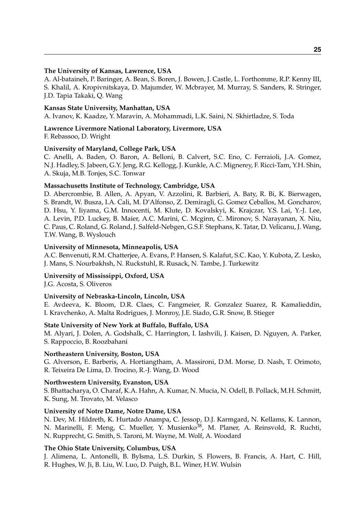#### **The University of Kansas, Lawrence, USA**

A. Al-bataineh, P. Baringer, A. Bean, S. Boren, J. Bowen, J. Castle, L. Forthomme, R.P. Kenny III, S. Khalil, A. Kropivnitskaya, D. Majumder, W. Mcbrayer, M. Murray, S. Sanders, R. Stringer, J.D. Tapia Takaki, Q. Wang

#### **Kansas State University, Manhattan, USA**

A. Ivanov, K. Kaadze, Y. Maravin, A. Mohammadi, L.K. Saini, N. Skhirtladze, S. Toda

#### **Lawrence Livermore National Laboratory, Livermore, USA**

F. Rebassoo, D. Wright

#### **University of Maryland, College Park, USA**

C. Anelli, A. Baden, O. Baron, A. Belloni, B. Calvert, S.C. Eno, C. Ferraioli, J.A. Gomez, N.J. Hadley, S. Jabeen, G.Y. Jeng, R.G. Kellogg, J. Kunkle, A.C. Mignerey, F. Ricci-Tam, Y.H. Shin, A. Skuja, M.B. Tonjes, S.C. Tonwar

## **Massachusetts Institute of Technology, Cambridge, USA**

D. Abercrombie, B. Allen, A. Apyan, V. Azzolini, R. Barbieri, A. Baty, R. Bi, K. Bierwagen, S. Brandt, W. Busza, I.A. Cali, M. D'Alfonso, Z. Demiragli, G. Gomez Ceballos, M. Goncharov, D. Hsu, Y. Iiyama, G.M. Innocenti, M. Klute, D. Kovalskyi, K. Krajczar, Y.S. Lai, Y.-J. Lee, A. Levin, P.D. Luckey, B. Maier, A.C. Marini, C. Mcginn, C. Mironov, S. Narayanan, X. Niu, C. Paus, C. Roland, G. Roland, J. Salfeld-Nebgen, G.S.F. Stephans, K. Tatar, D. Velicanu, J. Wang, T.W. Wang, B. Wyslouch

#### **University of Minnesota, Minneapolis, USA**

A.C. Benvenuti, R.M. Chatterjee, A. Evans, P. Hansen, S. Kalafut, S.C. Kao, Y. Kubota, Z. Lesko, J. Mans, S. Nourbakhsh, N. Ruckstuhl, R. Rusack, N. Tambe, J. Turkewitz

#### **University of Mississippi, Oxford, USA**

J.G. Acosta, S. Oliveros

#### **University of Nebraska-Lincoln, Lincoln, USA**

E. Avdeeva, K. Bloom, D.R. Claes, C. Fangmeier, R. Gonzalez Suarez, R. Kamalieddin, I. Kravchenko, A. Malta Rodrigues, J. Monroy, J.E. Siado, G.R. Snow, B. Stieger

#### **State University of New York at Buffalo, Buffalo, USA**

M. Alyari, J. Dolen, A. Godshalk, C. Harrington, I. Iashvili, J. Kaisen, D. Nguyen, A. Parker, S. Rappoccio, B. Roozbahani

#### **Northeastern University, Boston, USA**

G. Alverson, E. Barberis, A. Hortiangtham, A. Massironi, D.M. Morse, D. Nash, T. Orimoto, R. Teixeira De Lima, D. Trocino, R.-J. Wang, D. Wood

#### **Northwestern University, Evanston, USA**

S. Bhattacharya, O. Charaf, K.A. Hahn, A. Kumar, N. Mucia, N. Odell, B. Pollack, M.H. Schmitt, K. Sung, M. Trovato, M. Velasco

#### **University of Notre Dame, Notre Dame, USA**

N. Dev, M. Hildreth, K. Hurtado Anampa, C. Jessop, D.J. Karmgard, N. Kellams, K. Lannon, N. Marinelli, F. Meng, C. Mueller, Y. Musienko<sup>38</sup>, M. Planer, A. Reinsvold, R. Ruchti, N. Rupprecht, G. Smith, S. Taroni, M. Wayne, M. Wolf, A. Woodard

#### **The Ohio State University, Columbus, USA**

J. Alimena, L. Antonelli, B. Bylsma, L.S. Durkin, S. Flowers, B. Francis, A. Hart, C. Hill, R. Hughes, W. Ji, B. Liu, W. Luo, D. Puigh, B.L. Winer, H.W. Wulsin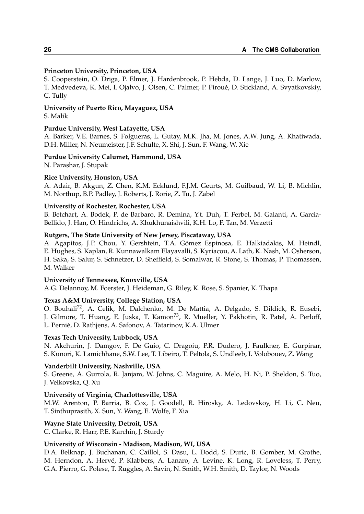#### **Princeton University, Princeton, USA**

S. Cooperstein, O. Driga, P. Elmer, J. Hardenbrook, P. Hebda, D. Lange, J. Luo, D. Marlow, T. Medvedeva, K. Mei, I. Ojalvo, J. Olsen, C. Palmer, P. Piroué, D. Stickland, A. Svyatkovskiy, C. Tully

**University of Puerto Rico, Mayaguez, USA**

S. Malik

#### **Purdue University, West Lafayette, USA**

A. Barker, V.E. Barnes, S. Folgueras, L. Gutay, M.K. Jha, M. Jones, A.W. Jung, A. Khatiwada, D.H. Miller, N. Neumeister, J.F. Schulte, X. Shi, J. Sun, F. Wang, W. Xie

#### **Purdue University Calumet, Hammond, USA**

N. Parashar, J. Stupak

#### **Rice University, Houston, USA**

A. Adair, B. Akgun, Z. Chen, K.M. Ecklund, F.J.M. Geurts, M. Guilbaud, W. Li, B. Michlin, M. Northup, B.P. Padley, J. Roberts, J. Rorie, Z. Tu, J. Zabel

#### **University of Rochester, Rochester, USA**

B. Betchart, A. Bodek, P. de Barbaro, R. Demina, Y.t. Duh, T. Ferbel, M. Galanti, A. Garcia-Bellido, J. Han, O. Hindrichs, A. Khukhunaishvili, K.H. Lo, P. Tan, M. Verzetti

#### **Rutgers, The State University of New Jersey, Piscataway, USA**

A. Agapitos, J.P. Chou, Y. Gershtein, T.A. Gómez Espinosa, E. Halkiadakis, M. Heindl, E. Hughes, S. Kaplan, R. Kunnawalkam Elayavalli, S. Kyriacou, A. Lath, K. Nash, M. Osherson, H. Saka, S. Salur, S. Schnetzer, D. Sheffield, S. Somalwar, R. Stone, S. Thomas, P. Thomassen, M. Walker

#### **University of Tennessee, Knoxville, USA**

A.G. Delannoy, M. Foerster, J. Heideman, G. Riley, K. Rose, S. Spanier, K. Thapa

### **Texas A&M University, College Station, USA**

O. Bouhali72, A. Celik, M. Dalchenko, M. De Mattia, A. Delgado, S. Dildick, R. Eusebi, J. Gilmore, T. Huang, E. Juska, T. Kamon<sup>73</sup>, R. Mueller, Y. Pakhotin, R. Patel, A. Perloff, L. Pernie, D. Rathjens, A. Safonov, A. Tatarinov, K.A. Ulmer `

#### **Texas Tech University, Lubbock, USA**

N. Akchurin, J. Damgov, F. De Guio, C. Dragoiu, P.R. Dudero, J. Faulkner, E. Gurpinar, S. Kunori, K. Lamichhane, S.W. Lee, T. Libeiro, T. Peltola, S. Undleeb, I. Volobouev, Z. Wang

#### **Vanderbilt University, Nashville, USA**

S. Greene, A. Gurrola, R. Janjam, W. Johns, C. Maguire, A. Melo, H. Ni, P. Sheldon, S. Tuo, J. Velkovska, Q. Xu

#### **University of Virginia, Charlottesville, USA**

M.W. Arenton, P. Barria, B. Cox, J. Goodell, R. Hirosky, A. Ledovskoy, H. Li, C. Neu, T. Sinthuprasith, X. Sun, Y. Wang, E. Wolfe, F. Xia

#### **Wayne State University, Detroit, USA**

C. Clarke, R. Harr, P.E. Karchin, J. Sturdy

## **University of Wisconsin - Madison, Madison, WI, USA**

D.A. Belknap, J. Buchanan, C. Caillol, S. Dasu, L. Dodd, S. Duric, B. Gomber, M. Grothe, M. Herndon, A. Hervé, P. Klabbers, A. Lanaro, A. Levine, K. Long, R. Loveless, T. Perry, G.A. Pierro, G. Polese, T. Ruggles, A. Savin, N. Smith, W.H. Smith, D. Taylor, N. Woods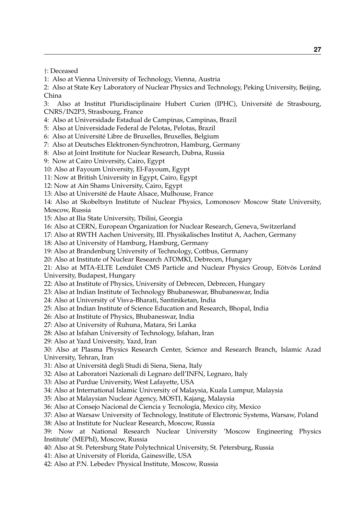†: Deceased

1: Also at Vienna University of Technology, Vienna, Austria

2: Also at State Key Laboratory of Nuclear Physics and Technology, Peking University, Beijing, China

3: Also at Institut Pluridisciplinaire Hubert Curien (IPHC), Université de Strasbourg, CNRS/IN2P3, Strasbourg, France

- 4: Also at Universidade Estadual de Campinas, Campinas, Brazil
- 5: Also at Universidade Federal de Pelotas, Pelotas, Brazil
- 6: Also at Université Libre de Bruxelles, Bruxelles, Belgium
- 7: Also at Deutsches Elektronen-Synchrotron, Hamburg, Germany
- 8: Also at Joint Institute for Nuclear Research, Dubna, Russia
- 9: Now at Cairo University, Cairo, Egypt
- 10: Also at Fayoum University, El-Fayoum, Egypt
- 11: Now at British University in Egypt, Cairo, Egypt
- 12: Now at Ain Shams University, Cairo, Egypt
- 13: Also at Universite de Haute Alsace, Mulhouse, France ´

14: Also at Skobeltsyn Institute of Nuclear Physics, Lomonosov Moscow State University, Moscow, Russia

15: Also at Ilia State University, Tbilisi, Georgia

16: Also at CERN, European Organization for Nuclear Research, Geneva, Switzerland

- 17: Also at RWTH Aachen University, III. Physikalisches Institut A, Aachen, Germany
- 18: Also at University of Hamburg, Hamburg, Germany
- 19: Also at Brandenburg University of Technology, Cottbus, Germany
- 20: Also at Institute of Nuclear Research ATOMKI, Debrecen, Hungary

21: Also at MTA-ELTE Lendület CMS Particle and Nuclear Physics Group, Eötvös Loránd University, Budapest, Hungary

22: Also at Institute of Physics, University of Debrecen, Debrecen, Hungary

- 23: Also at Indian Institute of Technology Bhubaneswar, Bhubaneswar, India
- 24: Also at University of Visva-Bharati, Santiniketan, India
- 25: Also at Indian Institute of Science Education and Research, Bhopal, India
- 26: Also at Institute of Physics, Bhubaneswar, India
- 27: Also at University of Ruhuna, Matara, Sri Lanka
- 28: Also at Isfahan University of Technology, Isfahan, Iran
- 29: Also at Yazd University, Yazd, Iran

30: Also at Plasma Physics Research Center, Science and Research Branch, Islamic Azad University, Tehran, Iran

- 31: Also at Universita degli Studi di Siena, Siena, Italy `
- 32: Also at Laboratori Nazionali di Legnaro dell'INFN, Legnaro, Italy
- 33: Also at Purdue University, West Lafayette, USA
- 34: Also at International Islamic University of Malaysia, Kuala Lumpur, Malaysia
- 35: Also at Malaysian Nuclear Agency, MOSTI, Kajang, Malaysia
- 36: Also at Consejo Nacional de Ciencia y Tecnología, Mexico city, Mexico
- 37: Also at Warsaw University of Technology, Institute of Electronic Systems, Warsaw, Poland
- 38: Also at Institute for Nuclear Research, Moscow, Russia

39: Now at National Research Nuclear University 'Moscow Engineering Physics Institute' (MEPhI), Moscow, Russia

- 40: Also at St. Petersburg State Polytechnical University, St. Petersburg, Russia
- 41: Also at University of Florida, Gainesville, USA
- 42: Also at P.N. Lebedev Physical Institute, Moscow, Russia